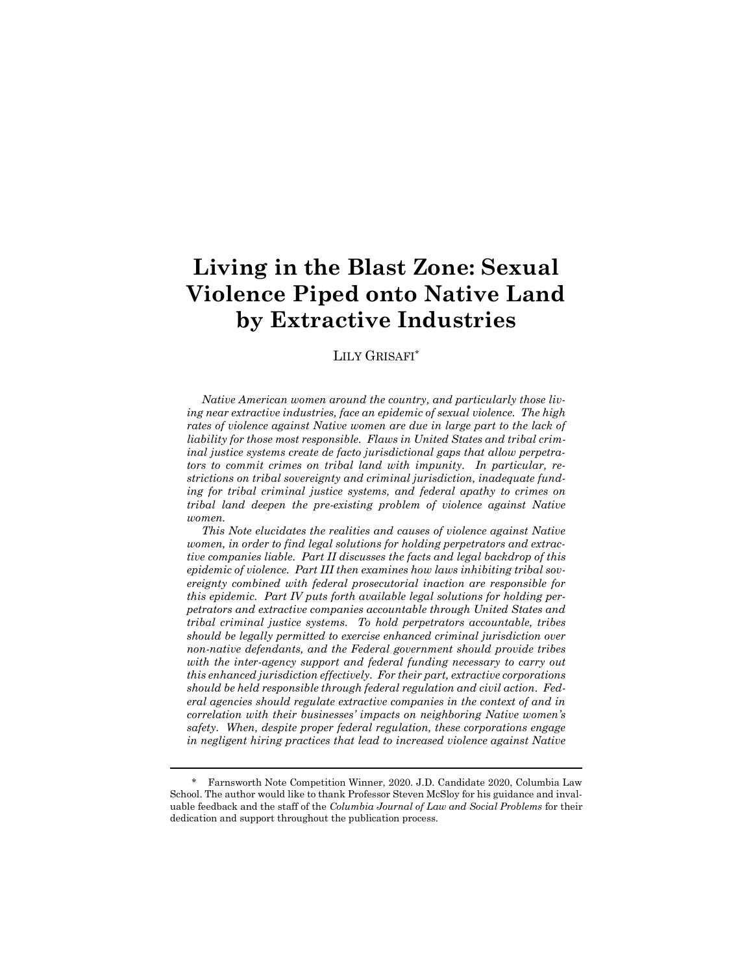# **Living in the Blast Zone: Sexual Violence Piped onto Native Land by Extractive Industries**

### LILY GRISAFI\*

*Native American women around the country, and particularly those living near extractive industries, face an epidemic of sexual violence. The high rates of violence against Native women are due in large part to the lack of liability for those most responsible. Flaws in United States and tribal criminal justice systems create de facto jurisdictional gaps that allow perpetrators to commit crimes on tribal land with impunity. In particular, restrictions on tribal sovereignty and criminal jurisdiction, inadequate funding for tribal criminal justice systems, and federal apathy to crimes on tribal land deepen the pre-existing problem of violence against Native women.*

*This Note elucidates the realities and causes of violence against Native women, in order to find legal solutions for holding perpetrators and extractive companies liable. Part II discusses the facts and legal backdrop of this epidemic of violence. Part III then examines how laws inhibiting tribal sovereignty combined with federal prosecutorial inaction are responsible for this epidemic. Part IV puts forth available legal solutions for holding perpetrators and extractive companies accountable through United States and tribal criminal justice systems. To hold perpetrators accountable, tribes should be legally permitted to exercise enhanced criminal jurisdiction over non-native defendants, and the Federal government should provide tribes*  with the inter-agency support and federal funding necessary to carry out *this enhanced jurisdiction effectively. For their part, extractive corporations should be held responsible through federal regulation and civil action. Federal agencies should regulate extractive companies in the context of and in correlation with their businesses' impacts on neighboring Native women's safety. When, despite proper federal regulation, these corporations engage in negligent hiring practices that lead to increased violence against Native* 

<sup>\*</sup> Farnsworth Note Competition Winner, 2020. J.D. Candidate 2020, Columbia Law School. The author would like to thank Professor Steven McSloy for his guidance and invaluable feedback and the staff of the *Columbia Journal of Law and Social Problems* for their dedication and support throughout the publication process.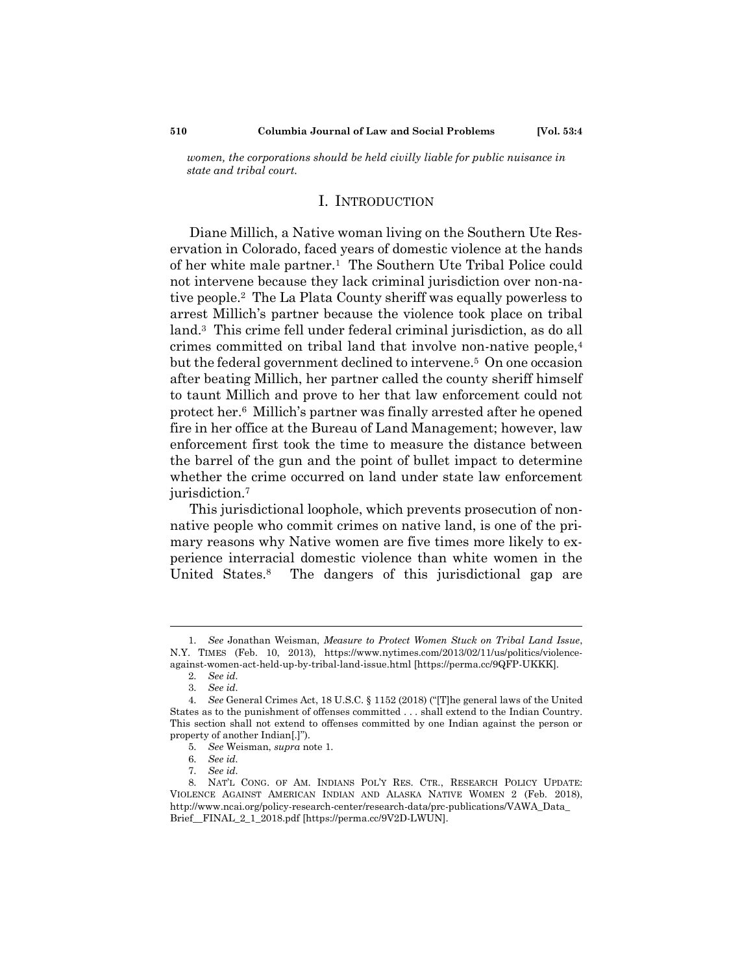*women, the corporations should be held civilly liable for public nuisance in state and tribal court.*

# I. INTRODUCTION

Diane Millich, a Native woman living on the Southern Ute Reservation in Colorado, faced years of domestic violence at the hands of her white male partner.<sup>1</sup> The Southern Ute Tribal Police could not intervene because they lack criminal jurisdiction over non-native people.<sup>2</sup> The La Plata County sheriff was equally powerless to arrest Millich's partner because the violence took place on tribal land.<sup>3</sup> This crime fell under federal criminal jurisdiction, as do all crimes committed on tribal land that involve non-native people,<sup>4</sup> but the federal government declined to intervene.<sup>5</sup> On one occasion after beating Millich, her partner called the county sheriff himself to taunt Millich and prove to her that law enforcement could not protect her.<sup>6</sup> Millich's partner was finally arrested after he opened fire in her office at the Bureau of Land Management; however, law enforcement first took the time to measure the distance between the barrel of the gun and the point of bullet impact to determine whether the crime occurred on land under state law enforcement jurisdiction.<sup>7</sup>

This jurisdictional loophole, which prevents prosecution of nonnative people who commit crimes on native land, is one of the primary reasons why Native women are five times more likely to experience interracial domestic violence than white women in the United States.<sup>8</sup> The dangers of this jurisdictional gap are

<sup>1.</sup> *See* Jonathan Weisman, *Measure to Protect Women Stuck on Tribal Land Issue*, N.Y. TIMES (Feb. 10, 2013), https://www.nytimes.com/2013/02/11/us/politics/violenceagainst-women-act-held-up-by-tribal-land-issue.html [https://perma.cc/9QFP-UKKK].

<sup>2.</sup> *See id.*

<sup>3.</sup> *See id.*

<sup>4.</sup> *See* General Crimes Act, 18 U.S.C. § 1152 (2018) ("[T]he general laws of the United States as to the punishment of offenses committed . . . shall extend to the Indian Country. This section shall not extend to offenses committed by one Indian against the person or property of another Indian[.]").

<sup>5.</sup> *See* Weisman, *supra* note 1.

<sup>6.</sup> *See id.*

<sup>7.</sup> *See id.*

<sup>8.</sup> NAT'L CONG. OF AM. INDIANS POL'Y RES. CTR., RESEARCH POLICY UPDATE: VIOLENCE AGAINST AMERICAN INDIAN AND ALASKA NATIVE WOMEN 2 (Feb. 2018), http://www.ncai.org/policy-research-center/research-data/prc-publications/VAWA\_Data\_ Brief\_\_FINAL\_2\_1\_2018.pdf [https://perma.cc/9V2D-LWUN].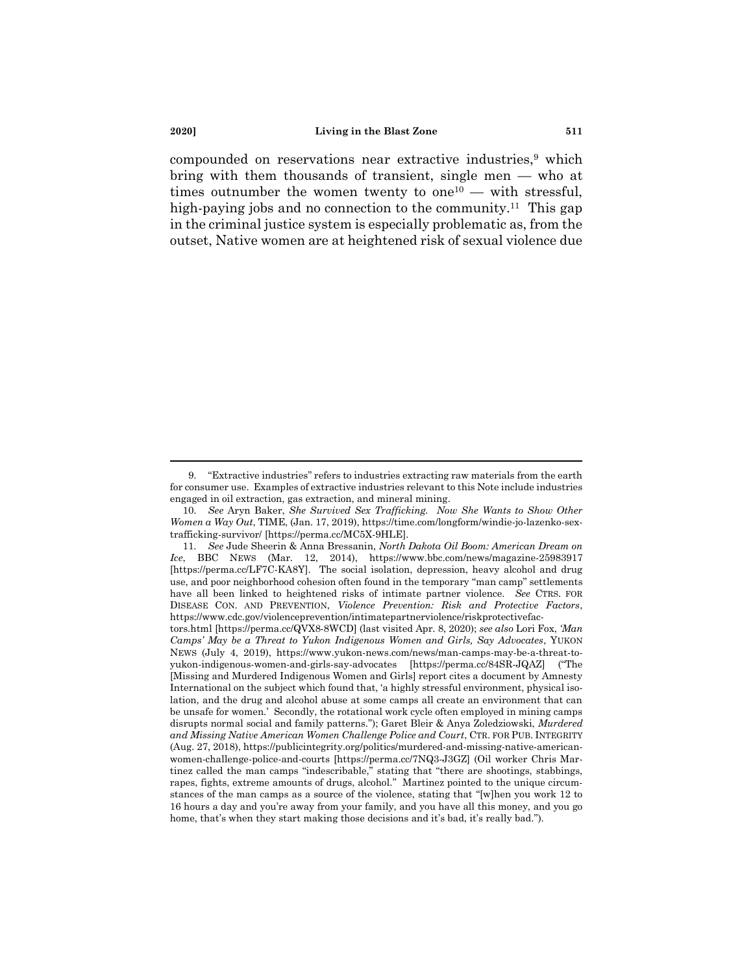compounded on reservations near extractive industries,<sup>9</sup> which bring with them thousands of transient, single men — who at times outnumber the women twenty to one<sup>10</sup> — with stressful, high-paying jobs and no connection to the community.<sup>11</sup> This gap in the criminal justice system is especially problematic as, from the outset, Native women are at heightened risk of sexual violence due

<sup>9.</sup> "Extractive industries" refers to industries extracting raw materials from the earth for consumer use. Examples of extractive industries relevant to this Note include industries engaged in oil extraction, gas extraction, and mineral mining.

<sup>10.</sup> *See* Aryn Baker, *She Survived Sex Trafficking. Now She Wants to Show Other Women a Way Out*, TIME, (Jan. 17, 2019), https://time.com/longform/windie-jo-lazenko-sextrafficking-survivor/ [https://perma.cc/MC5X-9HLE].

<sup>11.</sup> *See* Jude Sheerin & Anna Bressanin, *North Dakota Oil Boom: American Dream on Ice*, BBC NEWS (Mar. 12, 2014), https://www.bbc.com/news/magazine-25983917 [https://perma.cc/LF7C-KA8Y]. The social isolation, depression, heavy alcohol and drug use, and poor neighborhood cohesion often found in the temporary "man camp" settlements have all been linked to heightened risks of intimate partner violence. *See* CTRS. FOR DISEASE CON. AND PREVENTION, *Violence Prevention: Risk and Protective Factors*, https://www.cdc.gov/violenceprevention/intimatepartnerviolence/riskprotectivefac-

tors.html [https://perma.cc/QVX8-8WCD] (last visited Apr. 8, 2020); *see also* Lori Fox, *'Man Camps' May be a Threat to Yukon Indigenous Women and Girls, Say Advocates*, YUKON NEWS (July 4, 2019), https://www.yukon-news.com/news/man-camps-may-be-a-threat-toyukon-indigenous-women-and-girls-say-advocates [https://perma.cc/84SR-JQAZ] ("The [Missing and Murdered Indigenous Women and Girls] report cites a document by Amnesty International on the subject which found that, 'a highly stressful environment, physical isolation, and the drug and alcohol abuse at some camps all create an environment that can be unsafe for women.' Secondly, the rotational work cycle often employed in mining camps disrupts normal social and family patterns."); Garet Bleir & Anya Zoledziowski, *Murdered and Missing Native American Women Challenge Police and Court*, CTR. FOR PUB. INTEGRITY (Aug. 27, 2018), https://publicintegrity.org/politics/murdered-and-missing-native-americanwomen-challenge-police-and-courts [https://perma.cc/7NQ3-J3GZ] (Oil worker Chris Martinez called the man camps "indescribable," stating that "there are shootings, stabbings, rapes, fights, extreme amounts of drugs, alcohol." Martinez pointed to the unique circumstances of the man camps as a source of the violence, stating that "[w]hen you work 12 to 16 hours a day and you're away from your family, and you have all this money, and you go home, that's when they start making those decisions and it's bad, it's really bad.").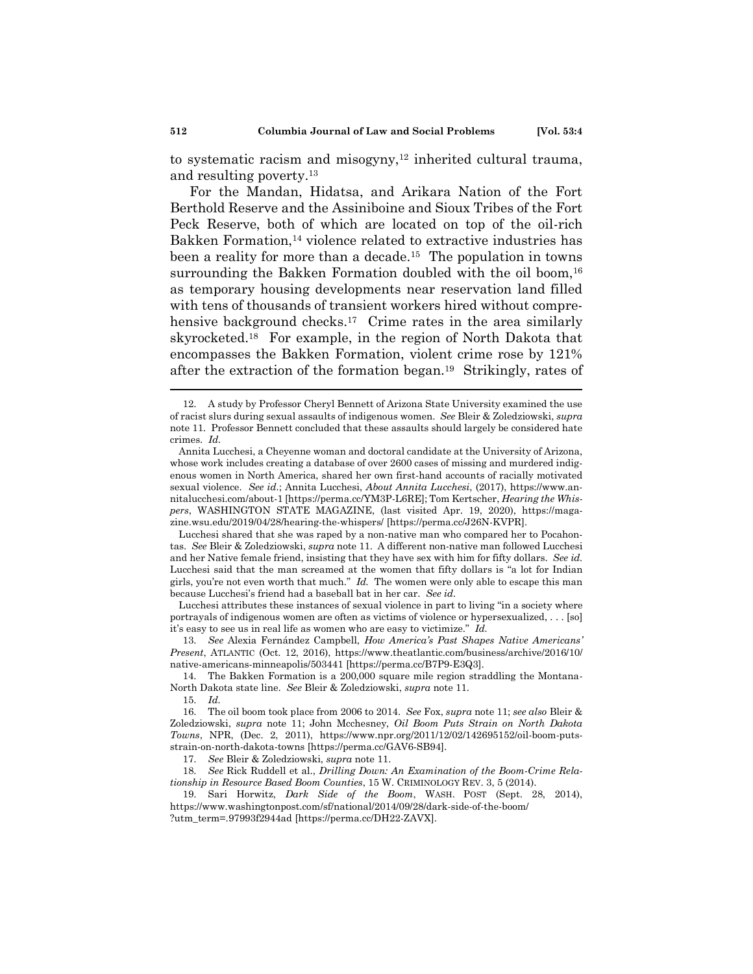to systematic racism and misogyny, $12$  inherited cultural trauma, and resulting poverty.<sup>13</sup>

For the Mandan, Hidatsa, and Arikara Nation of the Fort Berthold Reserve and the Assiniboine and Sioux Tribes of the Fort Peck Reserve, both of which are located on top of the oil-rich Bakken Formation,<sup>14</sup> violence related to extractive industries has been a reality for more than a decade.<sup>15</sup> The population in towns surrounding the Bakken Formation doubled with the oil boom,  $16$ as temporary housing developments near reservation land filled with tens of thousands of transient workers hired without comprehensive background checks.<sup>17</sup> Crime rates in the area similarly skyrocketed.<sup>18</sup> For example, in the region of North Dakota that encompasses the Bakken Formation, violent crime rose by 121% after the extraction of the formation began.<sup>19</sup> Strikingly, rates of

Lucchesi shared that she was raped by a non-native man who compared her to Pocahontas. *See* Bleir & Zoledziowski, *supra* note 11. A different non-native man followed Lucchesi and her Native female friend, insisting that they have sex with him for fifty dollars. *See id.*  Lucchesi said that the man screamed at the women that fifty dollars is "a lot for Indian girls, you're not even worth that much." *Id.* The women were only able to escape this man because Lucchesi's friend had a baseball bat in her car. *See id.* 

Lucchesi attributes these instances of sexual violence in part to living "in a society where portrayals of indigenous women are often as victims of violence or hypersexualized, . . . [so] it's easy to see us in real life as women who are easy to victimize." *Id.*

13. *See* Alexia Fernández Campbell, *How America's Past Shapes Native Americans' Present*, ATLANTIC (Oct. 12, 2016), https://www.theatlantic.com/business/archive/2016/10/ native-americans-minneapolis/503441 [https://perma.cc/B7P9-E3Q3].

14. The Bakken Formation is a 200,000 square mile region straddling the Montana-North Dakota state line. *See* Bleir & Zoledziowski, *supra* note 11.

17. *See* Bleir & Zoledziowski, *supra* note 11.

18. *See* Rick Ruddell et al., *Drilling Down: An Examination of the Boom-Crime Relationship in Resource Based Boom Counties*, 15 W. CRIMINOLOGY REV. 3, 5 (2014).

19. Sari Horwitz, *Dark Side of the Boom*, WASH. POST (Sept. 28, 2014), https://www.washingtonpost.com/sf/national/2014/09/28/dark-side-of-the-boom/

?utm\_term=.97993f2944ad [https://perma.cc/DH22-ZAVX].

<sup>12.</sup> A study by Professor Cheryl Bennett of Arizona State University examined the use of racist slurs during sexual assaults of indigenous women. *See* Bleir & Zoledziowski, *supra*  note 11. Professor Bennett concluded that these assaults should largely be considered hate crimes. *Id.* 

Annita Lucchesi, a Cheyenne woman and doctoral candidate at the University of Arizona, whose work includes creating a database of over 2600 cases of missing and murdered indigenous women in North America, shared her own first-hand accounts of racially motivated sexual violence. *See id.*; Annita Lucchesi, *About Annita Lucchesi*, (2017), https://www.annitalucchesi.com/about-1 [https://perma.cc/YM3P-L6RE]; Tom Kertscher, *Hearing the Whispers*, WASHINGTON STATE MAGAZINE, (last visited Apr. 19, 2020), https://magazine.wsu.edu/2019/04/28/hearing-the-whispers/ [https://perma.cc/J26N-KVPR].

<sup>15.</sup> *Id.*

<sup>16.</sup> The oil boom took place from 2006 to 2014. *See* Fox, *supra* note 11; *see also* Bleir & Zoledziowski, *supra* note 11; John Mcchesney, *Oil Boom Puts Strain on North Dakota Towns*, NPR, (Dec. 2, 2011), https://www.npr.org/2011/12/02/142695152/oil-boom-putsstrain-on-north-dakota-towns [https://perma.cc/GAV6-SB94].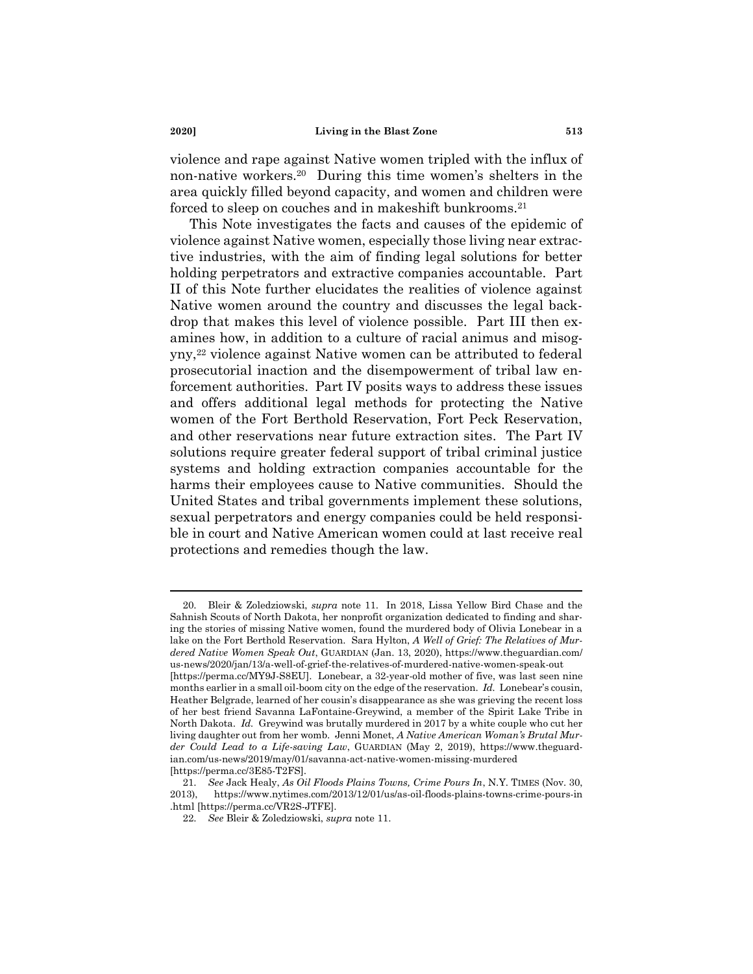violence and rape against Native women tripled with the influx of non-native workers.<sup>20</sup> During this time women's shelters in the area quickly filled beyond capacity, and women and children were forced to sleep on couches and in makeshift bunkrooms.<sup>21</sup>

This Note investigates the facts and causes of the epidemic of violence against Native women, especially those living near extractive industries, with the aim of finding legal solutions for better holding perpetrators and extractive companies accountable. Part II of this Note further elucidates the realities of violence against Native women around the country and discusses the legal backdrop that makes this level of violence possible. Part III then examines how, in addition to a culture of racial animus and misogyny,<sup>22</sup> violence against Native women can be attributed to federal prosecutorial inaction and the disempowerment of tribal law enforcement authorities. Part IV posits ways to address these issues and offers additional legal methods for protecting the Native women of the Fort Berthold Reservation, Fort Peck Reservation, and other reservations near future extraction sites. The Part IV solutions require greater federal support of tribal criminal justice systems and holding extraction companies accountable for the harms their employees cause to Native communities. Should the United States and tribal governments implement these solutions, sexual perpetrators and energy companies could be held responsible in court and Native American women could at last receive real protections and remedies though the law.

<sup>20.</sup> Bleir & Zoledziowski, *supra* note 11. In 2018, Lissa Yellow Bird Chase and the Sahnish Scouts of North Dakota, her nonprofit organization dedicated to finding and sharing the stories of missing Native women, found the murdered body of Olivia Lonebear in a lake on the Fort Berthold Reservation. Sara Hylton, *A Well of Grief: The Relatives of Murdered Native Women Speak Out*, GUARDIAN (Jan. 13, 2020), https://www.theguardian.com/ us-news/2020/jan/13/a-well-of-grief-the-relatives-of-murdered-native-women-speak-out [https://perma.cc/MY9J-S8EU]. Lonebear, a 32-year-old mother of five, was last seen nine months earlier in a small oil-boom city on the edge of the reservation. *Id.* Lonebear's cousin, Heather Belgrade, learned of her cousin's disappearance as she was grieving the recent loss of her best friend Savanna LaFontaine-Greywind, a member of the Spirit Lake Tribe in North Dakota. *Id.* Greywind was brutally murdered in 2017 by a white couple who cut her living daughter out from her womb. Jenni Monet, *A Native American Woman's Brutal Murder Could Lead to a Life-saving Law*, GUARDIAN (May 2, 2019), https://www.theguardian.com/us-news/2019/may/01/savanna-act-native-women-missing-murdered [https://perma.cc/3E85-T2FS].

<sup>21.</sup> *See* Jack Healy, *As Oil Floods Plains Towns, Crime Pours In*, N.Y. TIMES (Nov. 30, 2013), https://www.nytimes.com/2013/12/01/us/as-oil-floods-plains-towns-crime-pours-in .html [https://perma.cc/VR2S-JTFE].

<sup>22.</sup> *See* Bleir & Zoledziowski, *supra* note 11.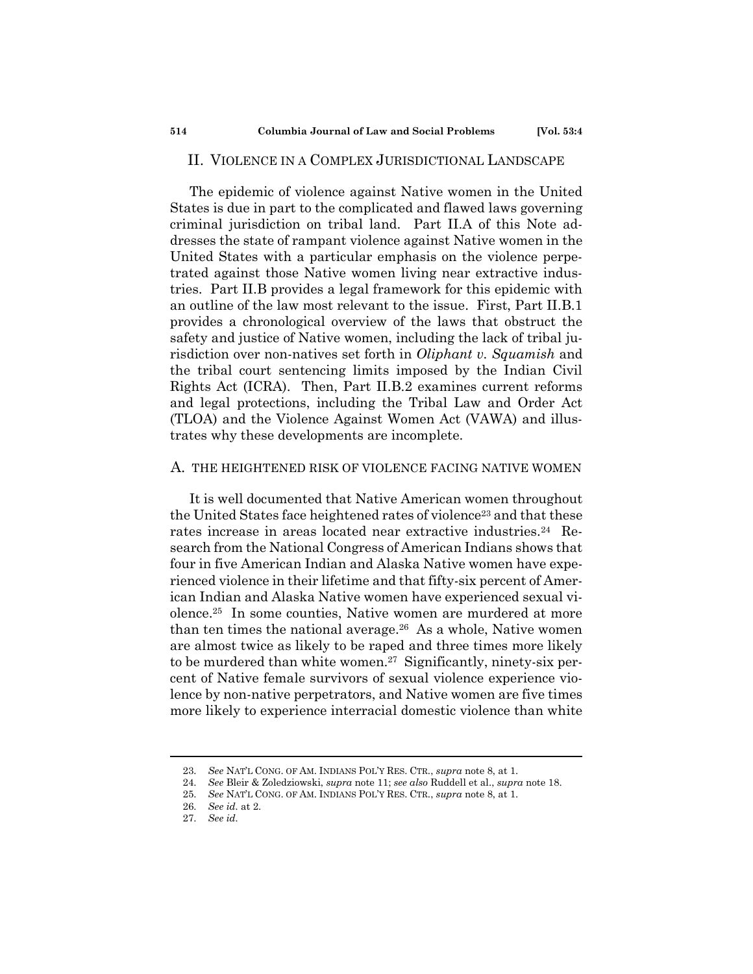### II. VIOLENCE IN A COMPLEX JURISDICTIONAL LANDSCAPE

The epidemic of violence against Native women in the United States is due in part to the complicated and flawed laws governing criminal jurisdiction on tribal land. Part II.A of this Note addresses the state of rampant violence against Native women in the United States with a particular emphasis on the violence perpetrated against those Native women living near extractive industries. Part II.B provides a legal framework for this epidemic with an outline of the law most relevant to the issue. First, Part II.B.1 provides a chronological overview of the laws that obstruct the safety and justice of Native women, including the lack of tribal jurisdiction over non-natives set forth in *Oliphant v. Squamish* and the tribal court sentencing limits imposed by the Indian Civil Rights Act (ICRA). Then, Part II.B.2 examines current reforms and legal protections, including the Tribal Law and Order Act (TLOA) and the Violence Against Women Act (VAWA) and illustrates why these developments are incomplete.

#### A. THE HEIGHTENED RISK OF VIOLENCE FACING NATIVE WOMEN

It is well documented that Native American women throughout the United States face heightened rates of violence<sup>23</sup> and that these rates increase in areas located near extractive industries.<sup>24</sup> Research from the National Congress of American Indians shows that four in five American Indian and Alaska Native women have experienced violence in their lifetime and that fifty-six percent of American Indian and Alaska Native women have experienced sexual violence.<sup>25</sup> In some counties, Native women are murdered at more than ten times the national average.<sup>26</sup> As a whole, Native women are almost twice as likely to be raped and three times more likely to be murdered than white women.<sup>27</sup> Significantly, ninety-six percent of Native female survivors of sexual violence experience violence by non-native perpetrators, and Native women are five times more likely to experience interracial domestic violence than white

<sup>23.</sup> *See* NAT'L CONG. OF AM. INDIANS POL'Y RES. CTR., *supra* note 8, at 1.

<sup>24.</sup> *See* Bleir & Zoledziowski, *supra* note 11; *see also* Ruddell et al., *supra* note 18.

<sup>25.</sup> *See* NAT'L CONG. OF AM. INDIANS POL'Y RES. CTR., *supra* note 8, at 1.

<sup>26.</sup> *See id.* at 2.

<sup>27.</sup> *See id.*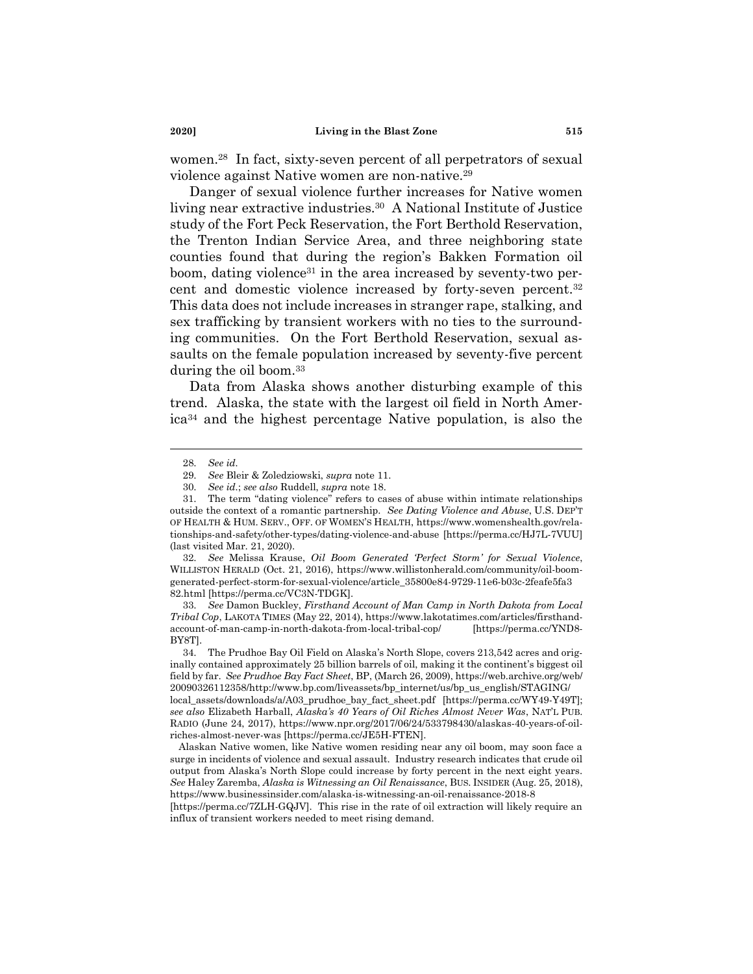women.<sup>28</sup> In fact, sixty-seven percent of all perpetrators of sexual violence against Native women are non-native.<sup>29</sup>

Danger of sexual violence further increases for Native women living near extractive industries.<sup>30</sup> A National Institute of Justice study of the Fort Peck Reservation, the Fort Berthold Reservation, the Trenton Indian Service Area, and three neighboring state counties found that during the region's Bakken Formation oil boom, dating violence <sup>31</sup> in the area increased by seventy-two percent and domestic violence increased by forty-seven percent.<sup>32</sup> This data does not include increases in stranger rape, stalking, and sex trafficking by transient workers with no ties to the surrounding communities. On the Fort Berthold Reservation, sexual assaults on the female population increased by seventy-five percent during the oil boom.<sup>33</sup>

Data from Alaska shows another disturbing example of this trend. Alaska, the state with the largest oil field in North America<sup>34</sup> and the highest percentage Native population, is also the

33. *See* Damon Buckley, *Firsthand Account of Man Camp in North Dakota from Local Tribal Cop*, LAKOTA TIMES (May 22, 2014), https://www.lakotatimes.com/articles/firsthandaccount-of-man-camp-in-north-dakota-from-local-tribal-cop/ [https://perma.cc/YND8- BY8T].

Alaskan Native women, like Native women residing near any oil boom, may soon face a surge in incidents of violence and sexual assault. Industry research indicates that crude oil output from Alaska's North Slope could increase by forty percent in the next eight years. *See* Haley Zaremba, *Alaska is Witnessing an Oil Renaissance*, BUS. INSIDER (Aug. 25, 2018), https://www.businessinsider.com/alaska-is-witnessing-an-oil-renaissance-2018-8

[https://perma.cc/7ZLH-GQJV]. This rise in the rate of oil extraction will likely require an influx of transient workers needed to meet rising demand.

<sup>28.</sup> *See id.*

<sup>29.</sup> *See* Bleir & Zoledziowski, *supra* note 11.

<sup>30.</sup> *See id.*; *see also* Ruddell, *supra* note 18.

<sup>31.</sup> The term "dating violence" refers to cases of abuse within intimate relationships outside the context of a romantic partnership. *See Dating Violence and Abuse*, U.S. DEP'T OF HEALTH & HUM. SERV., OFF. OF WOMEN'S HEALTH, https://www.womenshealth.gov/relationships-and-safety/other-types/dating-violence-and-abuse [https://perma.cc/HJ7L-7VUU] (last visited Mar. 21, 2020).

<sup>32.</sup> *See* Melissa Krause, *Oil Boom Generated 'Perfect Storm' for Sexual Violence*, WILLISTON HERALD (Oct. 21, 2016), https://www.willistonherald.com/community/oil-boomgenerated-perfect-storm-for-sexual-violence/article\_35800e84-9729-11e6-b03c-2feafe5fa3 82.html [https://perma.cc/VC3N-TDGK].

<sup>34.</sup> The Prudhoe Bay Oil Field on Alaska's North Slope, covers 213,542 acres and originally contained approximately 25 billion barrels of oil, making it the continent's biggest oil field by far. *See Prudhoe Bay Fact Sheet*, BP, (March 26, 2009), https://web.archive.org/web/ 20090326112358/http://www.bp.com/liveassets/bp\_internet/us/bp\_us\_english/STAGING/ local\_assets/downloads/a/A03\_prudhoe\_bay\_fact\_sheet.pdf [https://perma.cc/WY49-Y49T]; *see also* Elizabeth Harball, *Alaska's 40 Years of Oil Riches Almost Never Was*, NAT'L PUB. RADIO (June 24, 2017), https://www.npr.org/2017/06/24/533798430/alaskas-40-years-of-oilriches-almost-never-was [https://perma.cc/JE5H-FTEN].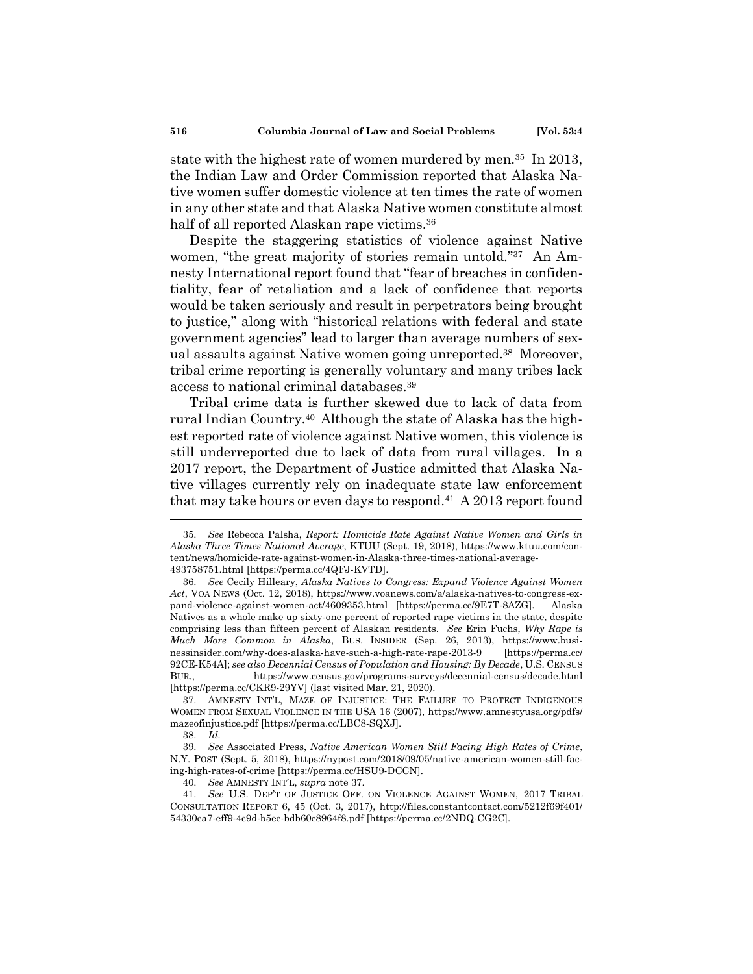state with the highest rate of women murdered by men.<sup>35</sup> In 2013, the Indian Law and Order Commission reported that Alaska Native women suffer domestic violence at ten times the rate of women in any other state and that Alaska Native women constitute almost half of all reported Alaskan rape victims.<sup>36</sup>

Despite the staggering statistics of violence against Native women, "the great majority of stories remain untold."<sup>37</sup> An Amnesty International report found that "fear of breaches in confidentiality, fear of retaliation and a lack of confidence that reports would be taken seriously and result in perpetrators being brought to justice," along with "historical relations with federal and state government agencies" lead to larger than average numbers of sexual assaults against Native women going unreported.<sup>38</sup> Moreover, tribal crime reporting is generally voluntary and many tribes lack access to national criminal databases.<sup>39</sup>

Tribal crime data is further skewed due to lack of data from rural Indian Country.<sup>40</sup> Although the state of Alaska has the highest reported rate of violence against Native women, this violence is still underreported due to lack of data from rural villages. In a 2017 report, the Department of Justice admitted that Alaska Native villages currently rely on inadequate state law enforcement that may take hours or even days to respond.<sup>41</sup> A 2013 report found

<sup>35.</sup> *See* Rebecca Palsha, *Report: Homicide Rate Against Native Women and Girls in Alaska Three Times National Average*, KTUU (Sept. 19, 2018), https://www.ktuu.com/content/news/homicide-rate-against-women-in-Alaska-three-times-national-average-493758751.html [https://perma.cc/4QFJ-KVTD].

<sup>36.</sup> *See* Cecily Hilleary, *Alaska Natives to Congress: Expand Violence Against Women Act*, VOA NEWS (Oct. 12, 2018), https://www.voanews.com/a/alaska-natives-to-congress-expand-violence-against-women-act/4609353.html [https://perma.cc/9E7T-8AZG]. Alaska Natives as a whole make up sixty-one percent of reported rape victims in the state, despite comprising less than fifteen percent of Alaskan residents. *See* Erin Fuchs, *Why Rape is Much More Common in Alaska*, BUS. INSIDER (Sep. 26, 2013), https://www.businessinsider.com/why-does-alaska-have-such-a-high-rate-rape-2013-9 [https://perma.cc/ 92CE-K54A]; *see also Decennial Census of Population and Housing: By Decade*, U.S. CENSUS BUR., https://www.census.gov/programs-surveys/decennial-census/decade.html [https://perma.cc/CKR9-29YV] (last visited Mar. 21, 2020).

<sup>37.</sup> AMNESTY INT'L, MAZE OF INJUSTICE: THE FAILURE TO PROTECT INDIGENOUS WOMEN FROM SEXUAL VIOLENCE IN THE USA 16 (2007), https://www.amnestyusa.org/pdfs/ mazeofinjustice.pdf [https://perma.cc/LBC8-SQXJ].

<sup>38.</sup> *Id.*

<sup>39.</sup> *See* Associated Press, *Native American Women Still Facing High Rates of Crime*, N.Y. POST (Sept. 5, 2018), https://nypost.com/2018/09/05/native-american-women-still-facing-high-rates-of-crime [https://perma.cc/HSU9-DCCN].

<sup>40.</sup> *See* AMNESTY INT'L, *supra* note 37.

<sup>41.</sup> *See* U.S. DEP'T OF JUSTICE OFF. ON VIOLENCE AGAINST WOMEN, 2017 TRIBAL CONSULTATION REPORT 6, 45 (Oct. 3, 2017), http://files.constantcontact.com/5212f69f401/ 54330ca7-eff9-4c9d-b5ec-bdb60c8964f8.pdf [https://perma.cc/2NDQ-CG2C].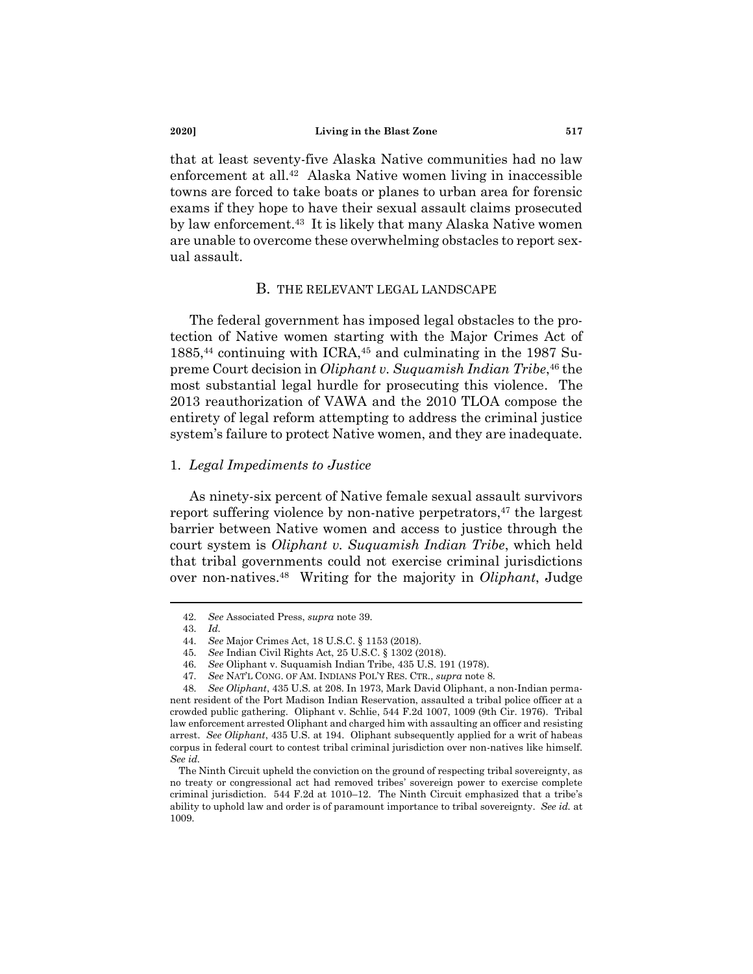that at least seventy-five Alaska Native communities had no law enforcement at all.<sup>42</sup> Alaska Native women living in inaccessible towns are forced to take boats or planes to urban area for forensic exams if they hope to have their sexual assault claims prosecuted by law enforcement.<sup>43</sup> It is likely that many Alaska Native women are unable to overcome these overwhelming obstacles to report sexual assault.

### B. THE RELEVANT LEGAL LANDSCAPE

The federal government has imposed legal obstacles to the protection of Native women starting with the Major Crimes Act of 1885, <sup>44</sup> continuing with ICRA,<sup>45</sup> and culminating in the 1987 Supreme Court decision in *Oliphant v. Suquamish Indian Tribe*, <sup>46</sup> the most substantial legal hurdle for prosecuting this violence. The 2013 reauthorization of VAWA and the 2010 TLOA compose the entirety of legal reform attempting to address the criminal justice system's failure to protect Native women, and they are inadequate.

#### 1. *Legal Impediments to Justice*

As ninety-six percent of Native female sexual assault survivors report suffering violence by non-native perpetrators,<sup>47</sup> the largest barrier between Native women and access to justice through the court system is *Oliphant v. Suquamish Indian Tribe*, which held that tribal governments could not exercise criminal jurisdictions over non-natives.<sup>48</sup> Writing for the majority in *Oliphant*, Judge

<sup>42.</sup> *See* Associated Press, *supra* note 39.

<sup>43.</sup> *Id.*

<sup>44.</sup> *See* Major Crimes Act, 18 U.S.C. § 1153 (2018).

<sup>45.</sup> *See* Indian Civil Rights Act, 25 U.S.C. § 1302 (2018).

<sup>46.</sup> *See* Oliphant v. Suquamish Indian Tribe, 435 U.S. 191 (1978).

<sup>47.</sup> *See* NAT'L CONG. OF AM. INDIANS POL'Y RES. CTR., *supra* note 8.

<sup>48.</sup> *See Oliphant*, 435 U.S. at 208. In 1973, Mark David Oliphant, a non-Indian permanent resident of the Port Madison Indian Reservation, assaulted a tribal police officer at a crowded public gathering. Oliphant v. Schlie, 544 F.2d 1007, 1009 (9th Cir. 1976). Tribal law enforcement arrested Oliphant and charged him with assaulting an officer and resisting arrest. *See Oliphant*, 435 U.S. at 194. Oliphant subsequently applied for a writ of habeas corpus in federal court to contest tribal criminal jurisdiction over non-natives like himself. *See id.*

The Ninth Circuit upheld the conviction on the ground of respecting tribal sovereignty, as no treaty or congressional act had removed tribes' sovereign power to exercise complete criminal jurisdiction. 544 F.2d at 1010–12. The Ninth Circuit emphasized that a tribe's ability to uphold law and order is of paramount importance to tribal sovereignty. *See id.* at 1009.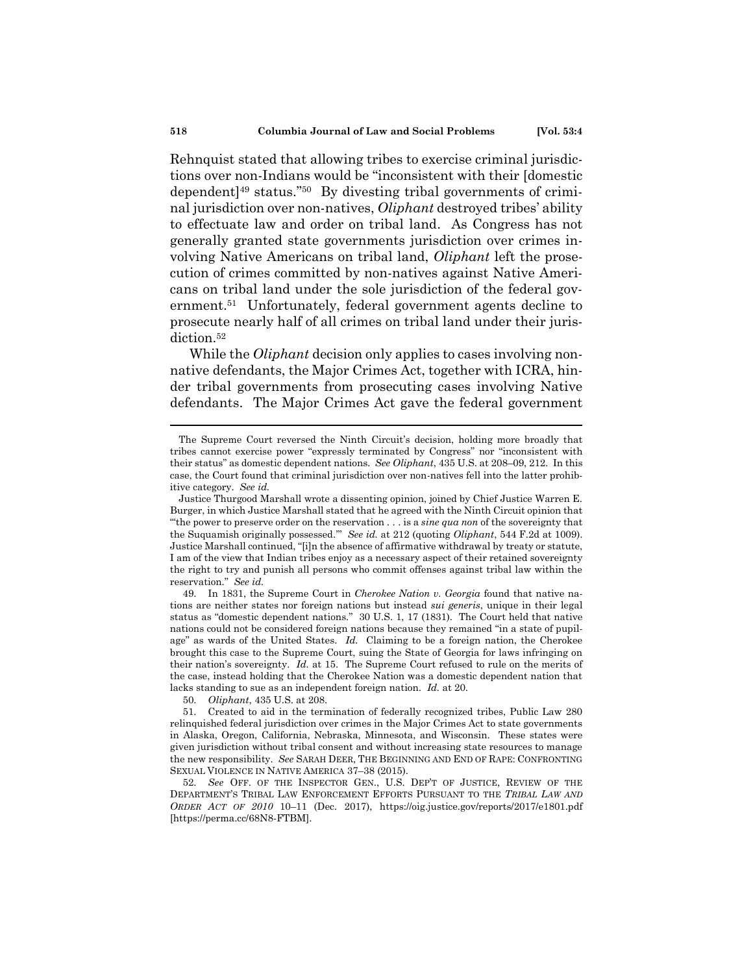Rehnquist stated that allowing tribes to exercise criminal jurisdictions over non-Indians would be "inconsistent with their [domestic dependent]<sup>49</sup> status." <sup>50</sup> By divesting tribal governments of criminal jurisdiction over non-natives, *Oliphant* destroyed tribes' ability to effectuate law and order on tribal land. As Congress has not generally granted state governments jurisdiction over crimes involving Native Americans on tribal land, *Oliphant* left the prosecution of crimes committed by non-natives against Native Americans on tribal land under the sole jurisdiction of the federal government.<sup>51</sup> Unfortunately, federal government agents decline to prosecute nearly half of all crimes on tribal land under their jurisdiction.<sup>52</sup>

While the *Oliphant* decision only applies to cases involving nonnative defendants, the Major Crimes Act, together with ICRA, hinder tribal governments from prosecuting cases involving Native defendants. The Major Crimes Act gave the federal government

50. *Oliphant*, 435 U.S. at 208.

The Supreme Court reversed the Ninth Circuit's decision, holding more broadly that tribes cannot exercise power "expressly terminated by Congress" nor "inconsistent with their status" as domestic dependent nations. *See Oliphant*, 435 U.S. at 208–09, 212. In this case, the Court found that criminal jurisdiction over non-natives fell into the latter prohibitive category. *See id.*

Justice Thurgood Marshall wrote a dissenting opinion, joined by Chief Justice Warren E. Burger, in which Justice Marshall stated that he agreed with the Ninth Circuit opinion that "'the power to preserve order on the reservation . . . is a *sine qua non* of the sovereignty that the Suquamish originally possessed.'" *See id.* at 212 (quoting *Oliphant*, 544 F.2d at 1009). Justice Marshall continued, "[i]n the absence of affirmative withdrawal by treaty or statute, I am of the view that Indian tribes enjoy as a necessary aspect of their retained sovereignty the right to try and punish all persons who commit offenses against tribal law within the reservation." *See id.*

<sup>49.</sup> In 1831, the Supreme Court in *Cherokee Nation v. Georgia* found that native nations are neither states nor foreign nations but instead *sui generis*, unique in their legal status as "domestic dependent nations." 30 U.S. 1, 17 (1831). The Court held that native nations could not be considered foreign nations because they remained "in a state of pupilage" as wards of the United States. *Id.* Claiming to be a foreign nation, the Cherokee brought this case to the Supreme Court, suing the State of Georgia for laws infringing on their nation's sovereignty. *Id.* at 15. The Supreme Court refused to rule on the merits of the case, instead holding that the Cherokee Nation was a domestic dependent nation that lacks standing to sue as an independent foreign nation. *Id.* at 20.

<sup>51.</sup> Created to aid in the termination of federally recognized tribes, Public Law 280 relinquished federal jurisdiction over crimes in the Major Crimes Act to state governments in Alaska, Oregon, California, Nebraska, Minnesota, and Wisconsin. These states were given jurisdiction without tribal consent and without increasing state resources to manage the new responsibility. *See* SARAH DEER, THE BEGINNING AND END OF RAPE: CONFRONTING SEXUAL VIOLENCE IN NATIVE AMERICA 37–38 (2015).

<sup>52.</sup> *See* OFF. OF THE INSPECTOR GEN., U.S. DEP'T OF JUSTICE, REVIEW OF THE DEPARTMENT'S TRIBAL LAW ENFORCEMENT EFFORTS PURSUANT TO THE *TRIBAL LAW AND ORDER ACT OF 2010* 10–11 (Dec. 2017), https://oig.justice.gov/reports/2017/e1801.pdf [https://perma.cc/68N8-FTBM].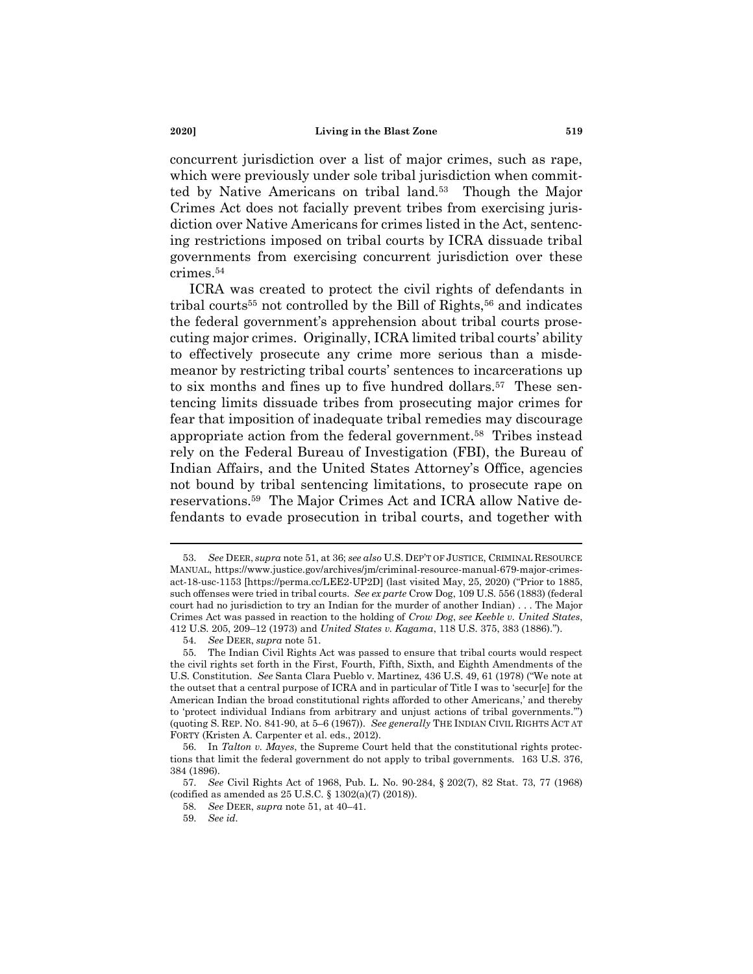concurrent jurisdiction over a list of major crimes, such as rape, which were previously under sole tribal jurisdiction when committed by Native Americans on tribal land.<sup>53</sup> Though the Major Crimes Act does not facially prevent tribes from exercising jurisdiction over Native Americans for crimes listed in the Act, sentencing restrictions imposed on tribal courts by ICRA dissuade tribal governments from exercising concurrent jurisdiction over these crimes.<sup>54</sup>

ICRA was created to protect the civil rights of defendants in tribal courts<sup>55</sup> not controlled by the Bill of Rights,<sup>56</sup> and indicates the federal government's apprehension about tribal courts prosecuting major crimes. Originally, ICRA limited tribal courts' ability to effectively prosecute any crime more serious than a misdemeanor by restricting tribal courts' sentences to incarcerations up to six months and fines up to five hundred dollars.<sup>57</sup> These sentencing limits dissuade tribes from prosecuting major crimes for fear that imposition of inadequate tribal remedies may discourage appropriate action from the federal government.<sup>58</sup> Tribes instead rely on the Federal Bureau of Investigation (FBI), the Bureau of Indian Affairs, and the United States Attorney's Office, agencies not bound by tribal sentencing limitations, to prosecute rape on reservations.<sup>59</sup> The Major Crimes Act and ICRA allow Native defendants to evade prosecution in tribal courts, and together with

<sup>53.</sup> *See* DEER, *supra* note 51, at 36; *see also* U.S. DEP'T OF JUSTICE, CRIMINAL RESOURCE MANUAL, https://www.justice.gov/archives/jm/criminal-resource-manual-679-major-crimesact-18-usc-1153 [https://perma.cc/LEE2-UP2D] (last visited May, 25, 2020) ("Prior to 1885, such offenses were tried in tribal courts. *See ex parte* Crow Dog, 109 U.S. 556 (1883) (federal court had no jurisdiction to try an Indian for the murder of another Indian) . . . The Major Crimes Act was passed in reaction to the holding of *Crow Dog*, *see Keeble v. United States*, 412 U.S. 205, 209–12 (1973) and *United States v. Kagama*, 118 U.S. 375, 383 (1886).").

<sup>54.</sup> *See* DEER, *supra* note 51.

<sup>55.</sup> The Indian Civil Rights Act was passed to ensure that tribal courts would respect the civil rights set forth in the First, Fourth, Fifth, Sixth, and Eighth Amendments of the U.S. Constitution. *See* Santa Clara Pueblo v. Martinez, 436 U.S. 49, 61 (1978) ("We note at the outset that a central purpose of ICRA and in particular of Title I was to 'secur[e] for the American Indian the broad constitutional rights afforded to other Americans,' and thereby to 'protect individual Indians from arbitrary and unjust actions of tribal governments.'") (quoting S. REP. NO. 841-90, at 5–6 (1967)). *See generally* THE INDIAN CIVIL RIGHTS ACT AT FORTY (Kristen A. Carpenter et al. eds., 2012).

<sup>56.</sup> In *Talton v. Mayes*, the Supreme Court held that the constitutional rights protections that limit the federal government do not apply to tribal governments. 163 U.S. 376, 384 (1896).

<sup>57.</sup> *See* Civil Rights Act of 1968, Pub. L. No. 90-284, § 202(7), 82 Stat. 73, 77 (1968) (codified as amended as 25 U.S.C. § 1302(a)(7) (2018)).

<sup>58.</sup> *See* DEER, *supra* note 51, at 40–41.

<sup>59.</sup> *See id.*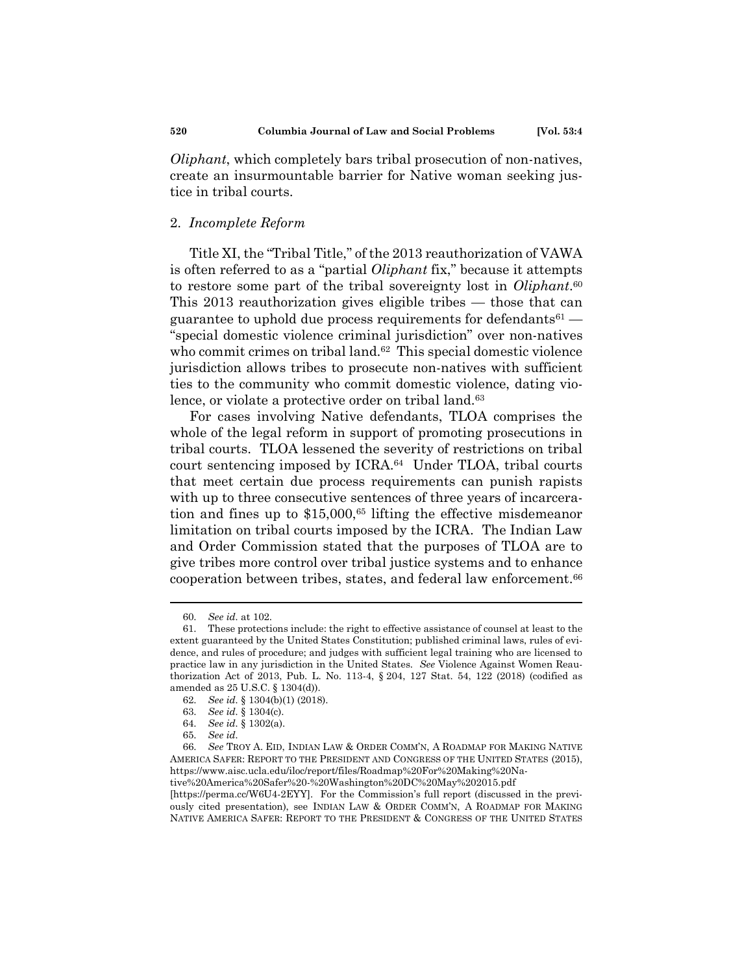*Oliphant*, which completely bars tribal prosecution of non-natives, create an insurmountable barrier for Native woman seeking justice in tribal courts.

# 2. *Incomplete Reform*

Title XI, the "Tribal Title," of the 2013 reauthorization of VAWA is often referred to as a "partial *Oliphant* fix," because it attempts to restore some part of the tribal sovereignty lost in *Oliphant*. 60 This 2013 reauthorization gives eligible tribes — those that can guarantee to uphold due process requirements for defendants<sup>61</sup> — "special domestic violence criminal jurisdiction" over non-natives who commit crimes on tribal land.<sup>62</sup> This special domestic violence jurisdiction allows tribes to prosecute non-natives with sufficient ties to the community who commit domestic violence, dating violence, or violate a protective order on tribal land.<sup>63</sup>

For cases involving Native defendants, TLOA comprises the whole of the legal reform in support of promoting prosecutions in tribal courts. TLOA lessened the severity of restrictions on tribal court sentencing imposed by ICRA.<sup>64</sup> Under TLOA, tribal courts that meet certain due process requirements can punish rapists with up to three consecutive sentences of three years of incarceration and fines up to \$15,000,<sup>65</sup> lifting the effective misdemeanor limitation on tribal courts imposed by the ICRA. The Indian Law and Order Commission stated that the purposes of TLOA are to give tribes more control over tribal justice systems and to enhance cooperation between tribes, states, and federal law enforcement.<sup>66</sup>

[https://perma.cc/W6U4-2EYY]. For the Commission's full report (discussed in the previously cited presentation), see INDIAN LAW & ORDER COMM'N, A ROADMAP FOR MAKING NATIVE AMERICA SAFER: REPORT TO THE PRESIDENT & CONGRESS OF THE UNITED STATES

<sup>60.</sup> *See id.* at 102.

<sup>61.</sup> These protections include: the right to effective assistance of counsel at least to the extent guaranteed by the United States Constitution; published criminal laws, rules of evidence, and rules of procedure; and judges with sufficient legal training who are licensed to practice law in any jurisdiction in the United States. *See* Violence Against Women Reauthorization Act of 2013, Pub. L. No. 113-4, § 204, 127 Stat. 54, 122 (2018) (codified as amended as 25 U.S.C. § 1304(d)).

<sup>62.</sup> *See id.* § 1304(b)(1) (2018).

<sup>63.</sup> *See id.* § 1304(c).

<sup>64.</sup> *See id.* § 1302(a).

<sup>65.</sup> *See id.*

<sup>66.</sup> *See* TROY A. EID, INDIAN LAW & ORDER COMM'N, A ROADMAP FOR MAKING NATIVE AMERICA SAFER: REPORT TO THE PRESIDENT AND CONGRESS OF THE UNITED STATES (2015), https://www.aisc.ucla.edu/iloc/report/files/Roadmap%20For%20Making%20Native%20America%20Safer%20-%20Washington%20DC%20May%202015.pdf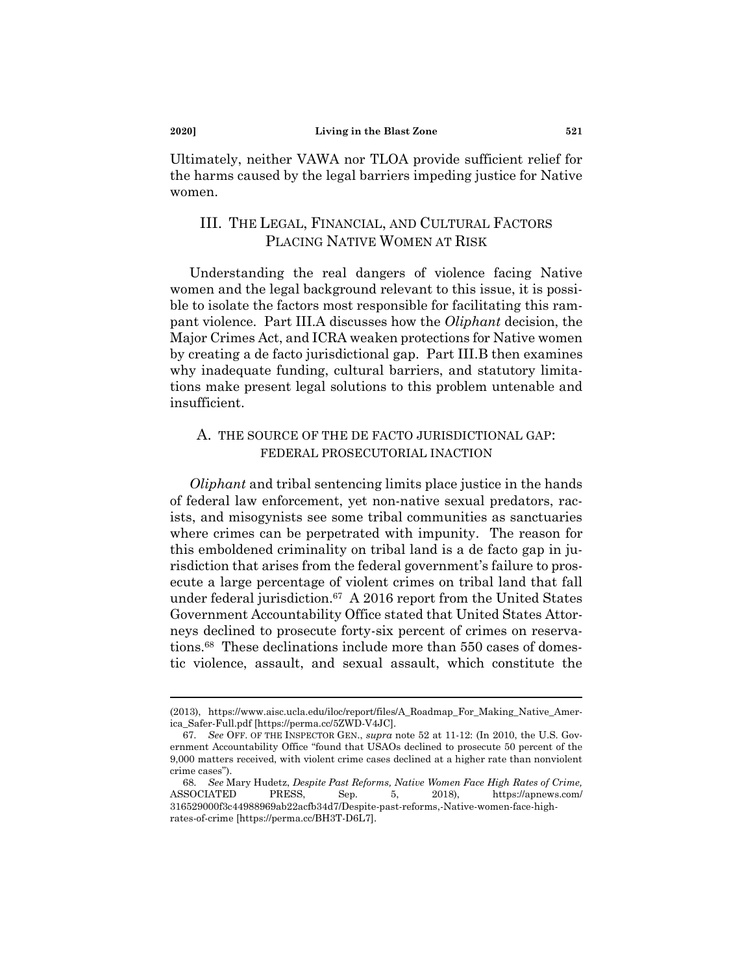Ultimately, neither VAWA nor TLOA provide sufficient relief for the harms caused by the legal barriers impeding justice for Native women.

# III. THE LEGAL, FINANCIAL, AND CULTURAL FACTORS PLACING NATIVE WOMEN AT RISK

Understanding the real dangers of violence facing Native women and the legal background relevant to this issue, it is possible to isolate the factors most responsible for facilitating this rampant violence. Part III.A discusses how the *Oliphant* decision, the Major Crimes Act, and ICRA weaken protections for Native women by creating a de facto jurisdictional gap. Part III.B then examines why inadequate funding, cultural barriers, and statutory limitations make present legal solutions to this problem untenable and insufficient.

# A. THE SOURCE OF THE DE FACTO JURISDICTIONAL GAP: FEDERAL PROSECUTORIAL INACTION

*Oliphant* and tribal sentencing limits place justice in the hands of federal law enforcement, yet non-native sexual predators, racists, and misogynists see some tribal communities as sanctuaries where crimes can be perpetrated with impunity. The reason for this emboldened criminality on tribal land is a de facto gap in jurisdiction that arises from the federal government's failure to prosecute a large percentage of violent crimes on tribal land that fall under federal jurisdiction.<sup>67</sup> A 2016 report from the United States Government Accountability Office stated that United States Attorneys declined to prosecute forty-six percent of crimes on reservations.<sup>68</sup> These declinations include more than 550 cases of domestic violence, assault, and sexual assault, which constitute the

<sup>(2013),</sup> https://www.aisc.ucla.edu/iloc/report/files/A\_Roadmap\_For\_Making\_Native\_America\_Safer-Full.pdf [https://perma.cc/5ZWD-V4JC].

<sup>67.</sup> *See* OFF. OF THE INSPECTOR GEN., *supra* note 52 at 11-12: (In 2010, the U.S. Government Accountability Office "found that USAOs declined to prosecute 50 percent of the 9,000 matters received, with violent crime cases declined at a higher rate than nonviolent crime cases").

<sup>68.</sup> *See* Mary Hudetz, *Despite Past Reforms, Native Women Face High Rates of Crime,*  ASSOCIATED PRESS, Sep. 5, 2018), https://apnews.com/ 316529000f3c44988969ab22acfb34d7/Despite-past-reforms,-Native-women-face-highrates-of-crime [https://perma.cc/BH3T-D6L7].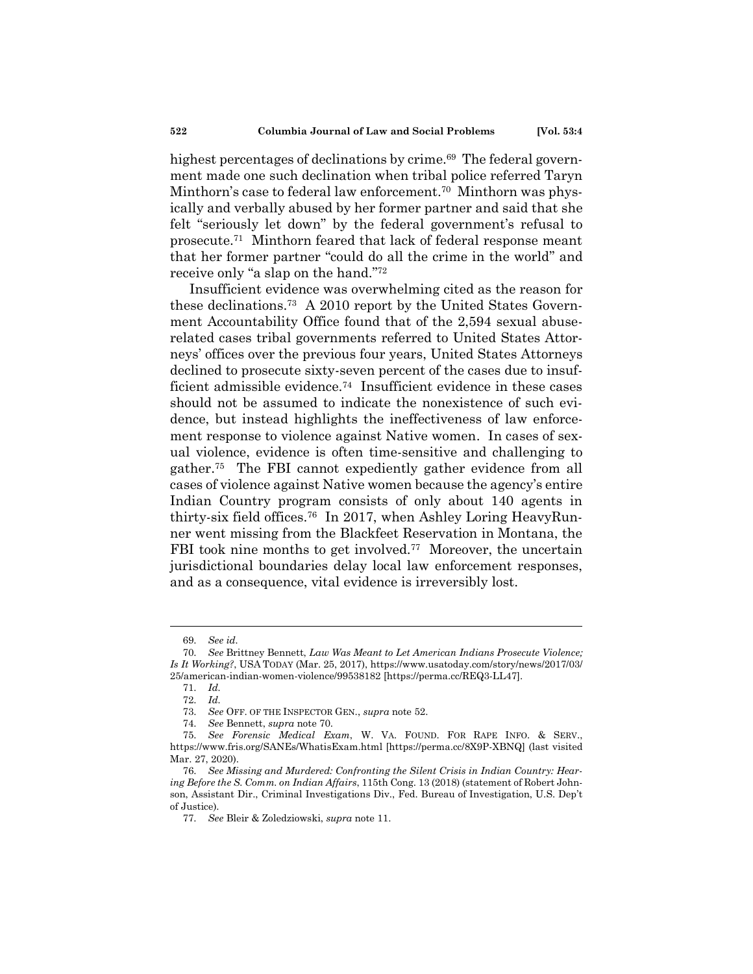highest percentages of declinations by crime.<sup>69</sup> The federal government made one such declination when tribal police referred Taryn Minthorn's case to federal law enforcement.<sup>70</sup> Minthorn was physically and verbally abused by her former partner and said that she felt "seriously let down" by the federal government's refusal to prosecute.<sup>71</sup> Minthorn feared that lack of federal response meant that her former partner "could do all the crime in the world" and receive only "a slap on the hand." 72

Insufficient evidence was overwhelming cited as the reason for these declinations.<sup>73</sup> A 2010 report by the United States Government Accountability Office found that of the 2,594 sexual abuserelated cases tribal governments referred to United States Attorneys' offices over the previous four years, United States Attorneys declined to prosecute sixty-seven percent of the cases due to insufficient admissible evidence.<sup>74</sup> Insufficient evidence in these cases should not be assumed to indicate the nonexistence of such evidence, but instead highlights the ineffectiveness of law enforcement response to violence against Native women. In cases of sexual violence, evidence is often time-sensitive and challenging to gather.<sup>75</sup> The FBI cannot expediently gather evidence from all cases of violence against Native women because the agency's entire Indian Country program consists of only about 140 agents in thirty-six field offices.<sup>76</sup> In 2017, when Ashley Loring HeavyRunner went missing from the Blackfeet Reservation in Montana, the FBI took nine months to get involved.<sup>77</sup> Moreover, the uncertain jurisdictional boundaries delay local law enforcement responses, and as a consequence, vital evidence is irreversibly lost.

<sup>69.</sup> *See id.*

<sup>70.</sup> *See* Brittney Bennett, *Law Was Meant to Let American Indians Prosecute Violence; Is It Working?*, USA TODAY (Mar. 25, 2017), https://www.usatoday.com/story/news/2017/03/ 25/american-indian-women-violence/99538182 [https://perma.cc/REQ3-LL47].

<sup>71.</sup> *Id.*

<sup>72.</sup> *Id.*

<sup>73.</sup> *See* OFF. OF THE INSPECTOR GEN., *supra* note 52.

<sup>74.</sup> *See* Bennett, *supra* note 70.

<sup>75.</sup> *See Forensic Medical Exam*, W. VA. FOUND. FOR RAPE INFO. & SERV., https://www.fris.org/SANEs/WhatisExam.html [https://perma.cc/8X9P-XBNQ] (last visited Mar. 27, 2020).

<sup>76.</sup> *See Missing and Murdered: Confronting the Silent Crisis in Indian Country: Hearing Before the S. Comm. on Indian Affairs*, 115th Cong. 13 (2018) (statement of Robert Johnson, Assistant Dir., Criminal Investigations Div., Fed. Bureau of Investigation, U.S. Dep't of Justice).

<sup>77.</sup> *See* Bleir & Zoledziowski, *supra* note 11.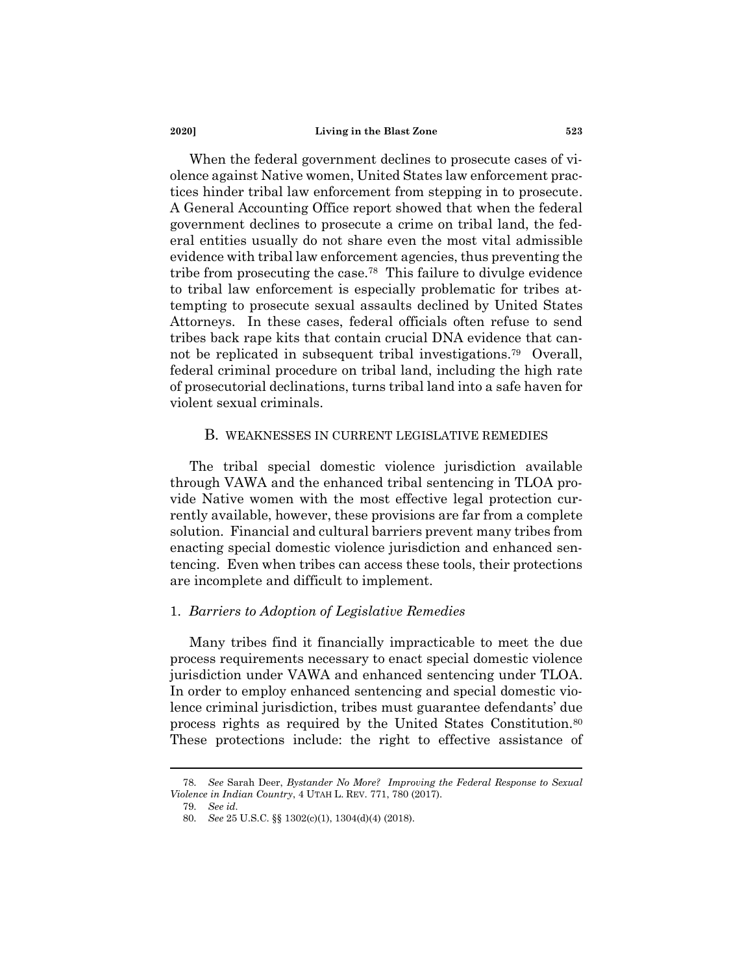When the federal government declines to prosecute cases of violence against Native women, United States law enforcement practices hinder tribal law enforcement from stepping in to prosecute. A General Accounting Office report showed that when the federal government declines to prosecute a crime on tribal land, the federal entities usually do not share even the most vital admissible evidence with tribal law enforcement agencies, thus preventing the tribe from prosecuting the case.<sup>78</sup> This failure to divulge evidence to tribal law enforcement is especially problematic for tribes attempting to prosecute sexual assaults declined by United States Attorneys. In these cases, federal officials often refuse to send tribes back rape kits that contain crucial DNA evidence that cannot be replicated in subsequent tribal investigations.<sup>79</sup> Overall, federal criminal procedure on tribal land, including the high rate of prosecutorial declinations, turns tribal land into a safe haven for violent sexual criminals.

#### B. WEAKNESSES IN CURRENT LEGISLATIVE REMEDIES

The tribal special domestic violence jurisdiction available through VAWA and the enhanced tribal sentencing in TLOA provide Native women with the most effective legal protection currently available, however, these provisions are far from a complete solution. Financial and cultural barriers prevent many tribes from enacting special domestic violence jurisdiction and enhanced sentencing. Even when tribes can access these tools, their protections are incomplete and difficult to implement.

### 1. *Barriers to Adoption of Legislative Remedies*

Many tribes find it financially impracticable to meet the due process requirements necessary to enact special domestic violence jurisdiction under VAWA and enhanced sentencing under TLOA. In order to employ enhanced sentencing and special domestic violence criminal jurisdiction, tribes must guarantee defendants' due process rights as required by the United States Constitution.<sup>80</sup> These protections include: the right to effective assistance of

<sup>78.</sup> *See* Sarah Deer, *Bystander No More? Improving the Federal Response to Sexual Violence in Indian Country*, 4 UTAH L. REV. 771, 780 (2017).

<sup>79.</sup> *See id.*

<sup>80.</sup> *See* 25 U.S.C. §§ 1302(c)(1), 1304(d)(4) (2018).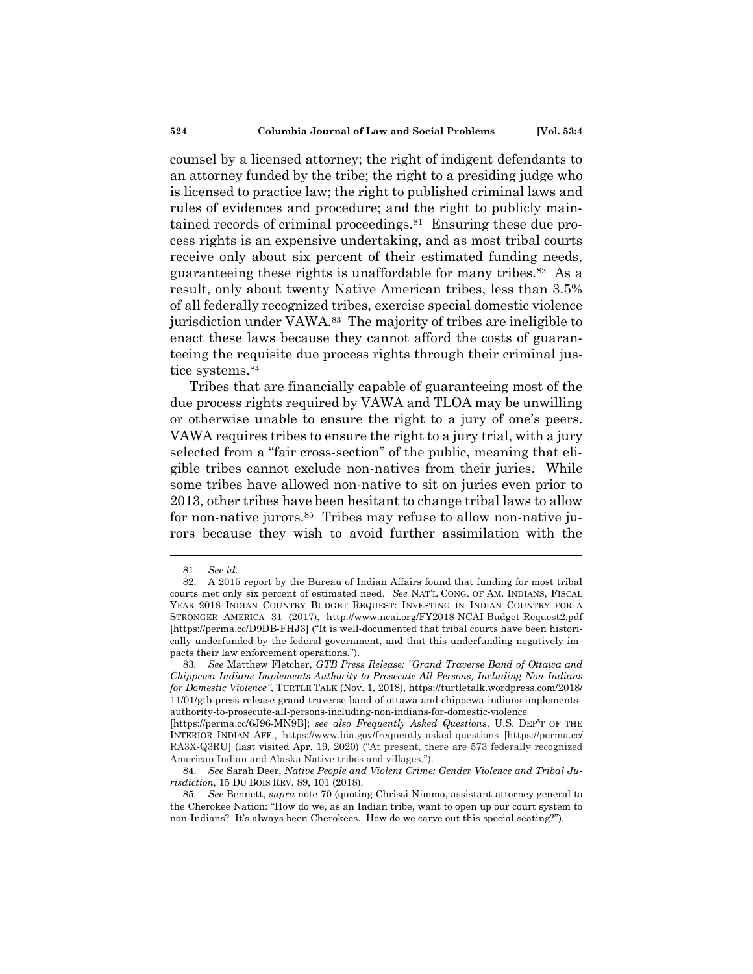counsel by a licensed attorney; the right of indigent defendants to an attorney funded by the tribe; the right to a presiding judge who is licensed to practice law; the right to published criminal laws and rules of evidences and procedure; and the right to publicly maintained records of criminal proceedings.<sup>81</sup> Ensuring these due process rights is an expensive undertaking, and as most tribal courts receive only about six percent of their estimated funding needs, guaranteeing these rights is unaffordable for many tribes.<sup>82</sup> As a result, only about twenty Native American tribes, less than 3.5% of all federally recognized tribes, exercise special domestic violence jurisdiction under VAWA.<sup>83</sup> The majority of tribes are ineligible to enact these laws because they cannot afford the costs of guaranteeing the requisite due process rights through their criminal jus-

#### tice systems.<sup>84</sup>

Tribes that are financially capable of guaranteeing most of the due process rights required by VAWA and TLOA may be unwilling or otherwise unable to ensure the right to a jury of one's peers. VAWA requires tribes to ensure the right to a jury trial, with a jury selected from a "fair cross-section" of the public, meaning that eligible tribes cannot exclude non-natives from their juries. While some tribes have allowed non-native to sit on juries even prior to 2013, other tribes have been hesitant to change tribal laws to allow for non-native jurors.<sup>85</sup> Tribes may refuse to allow non-native jurors because they wish to avoid further assimilation with the

<sup>81.</sup> *See id.*

<sup>82.</sup> A 2015 report by the Bureau of Indian Affairs found that funding for most tribal courts met only six percent of estimated need. *See* NAT'L CONG. OF AM. INDIANS, FISCAL YEAR 2018 INDIAN COUNTRY BUDGET REQUEST: INVESTING IN INDIAN COUNTRY FOR A STRONGER AMERICA 31 (2017), http://www.ncai.org/FY2018-NCAI-Budget-Request2.pdf [https://perma.cc/D9DB-FHJ3] ("It is well-documented that tribal courts have been historically underfunded by the federal government, and that this underfunding negatively impacts their law enforcement operations.").

<sup>83.</sup> *See* Matthew Fletcher, *GTB Press Release: "Grand Traverse Band of Ottawa and Chippewa Indians Implements Authority to Prosecute All Persons, Including Non-Indians for Domestic Violence"*, TURTLE TALK (Nov. 1, 2018), https://turtletalk.wordpress.com/2018/ 11/01/gtb-press-release-grand-traverse-band-of-ottawa-and-chippewa-indians-implementsauthority-to-prosecute-all-persons-including-non-indians-for-domestic-violence

<sup>[</sup>https://perma.cc/6J96-MN9B]; *see also Frequently Asked Questions*, U.S. DEP'T OF THE INTERIOR INDIAN AFF., https://www.bia.gov/frequently-asked-questions [https://perma.cc/ RA3X-Q3RU] (last visited Apr. 19, 2020) ("At present, there are 573 federally recognized American Indian and Alaska Native tribes and villages.").

<sup>84.</sup> *See* Sarah Deer, *Native People and Violent Crime: Gender Violence and Tribal Jurisdiction*, 15 DU BOIS REV. 89, 101 (2018).

<sup>85.</sup> *See* Bennett, *supra* note 70 (quoting Chrissi Nimmo, assistant attorney general to the Cherokee Nation: "How do we, as an Indian tribe, want to open up our court system to non-Indians? It's always been Cherokees. How do we carve out this special seating?").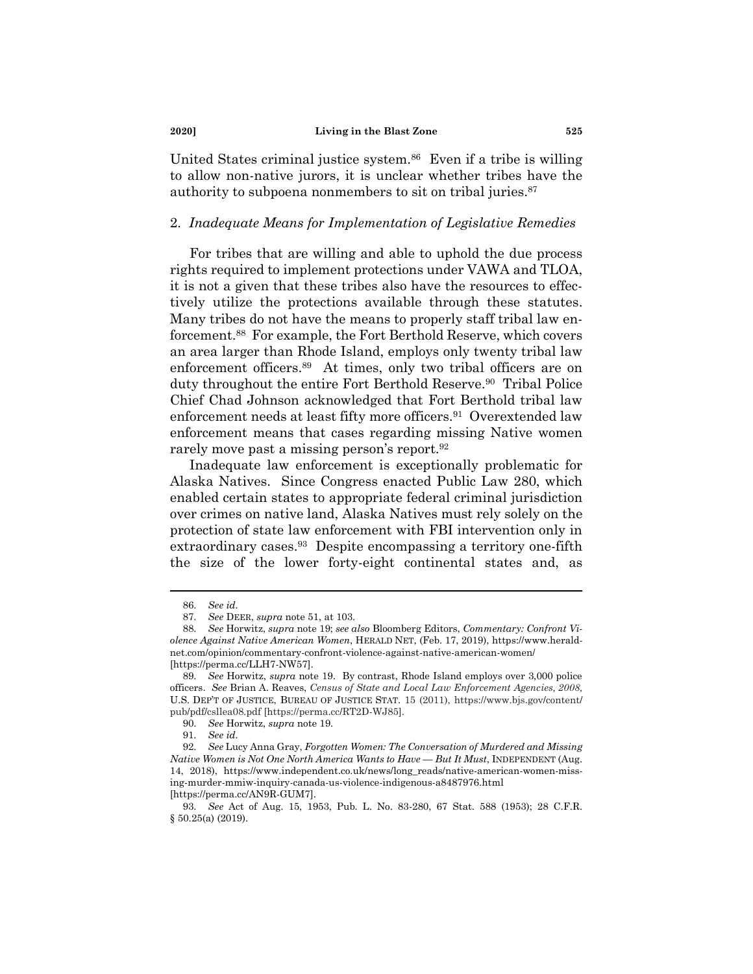United States criminal justice system.<sup>86</sup> Even if a tribe is willing to allow non-native jurors, it is unclear whether tribes have the authority to subpoena nonmembers to sit on tribal juries.<sup>87</sup>

# 2. *Inadequate Means for Implementation of Legislative Remedies*

For tribes that are willing and able to uphold the due process rights required to implement protections under VAWA and TLOA, it is not a given that these tribes also have the resources to effectively utilize the protections available through these statutes. Many tribes do not have the means to properly staff tribal law enforcement.<sup>88</sup> For example, the Fort Berthold Reserve, which covers an area larger than Rhode Island, employs only twenty tribal law enforcement officers.<sup>89</sup> At times, only two tribal officers are on duty throughout the entire Fort Berthold Reserve.<sup>90</sup> Tribal Police Chief Chad Johnson acknowledged that Fort Berthold tribal law enforcement needs at least fifty more officers.<sup>91</sup> Overextended law enforcement means that cases regarding missing Native women rarely move past a missing person's report.<sup>92</sup>

Inadequate law enforcement is exceptionally problematic for Alaska Natives. Since Congress enacted Public Law 280, which enabled certain states to appropriate federal criminal jurisdiction over crimes on native land, Alaska Natives must rely solely on the protection of state law enforcement with FBI intervention only in extraordinary cases.<sup>93</sup> Despite encompassing a territory one-fifth the size of the lower forty-eight continental states and, as

<sup>86.</sup> *See id.*

<sup>87.</sup> *See* DEER, *supra* note 51, at 103.

<sup>88.</sup> *See* Horwitz, *supra* note 19; *see also* Bloomberg Editors, *Commentary: Confront Violence Against Native American Women*, HERALD NET, (Feb. 17, 2019), https://www.heraldnet.com/opinion/commentary-confront-violence-against-native-american-women/ [https://perma.cc/LLH7-NW57].

<sup>89.</sup> *See* Horwitz, *supra* note 19. By contrast, Rhode Island employs over 3,000 police officers. *See* Brian A. Reaves, *Census of State and Local Law Enforcement Agencies, 2008,* U.S. DEP'T OF JUSTICE, BUREAU OF JUSTICE STAT. 15 (2011), https://www.bjs.gov/content/ pub/pdf/csllea08.pdf [https://perma.cc/RT2D-WJ85].

<sup>90.</sup> *See* Horwitz, *supra* note 19.

<sup>91.</sup> *See id.*

<sup>92.</sup> *See* Lucy Anna Gray, *Forgotten Women: The Conversation of Murdered and Missing Native Women is Not One North America Wants to Have — But It Must*, INDEPENDENT (Aug. 14, 2018), https://www.independent.co.uk/news/long\_reads/native-american-women-missing-murder-mmiw-inquiry-canada-us-violence-indigenous-a8487976.html [https://perma.cc/AN9R-GUM7].

<sup>93.</sup> *See* Act of Aug. 15, 1953, Pub. L. No. 83-280, 67 Stat. 588 (1953); 28 C.F.R. § 50.25(a) (2019).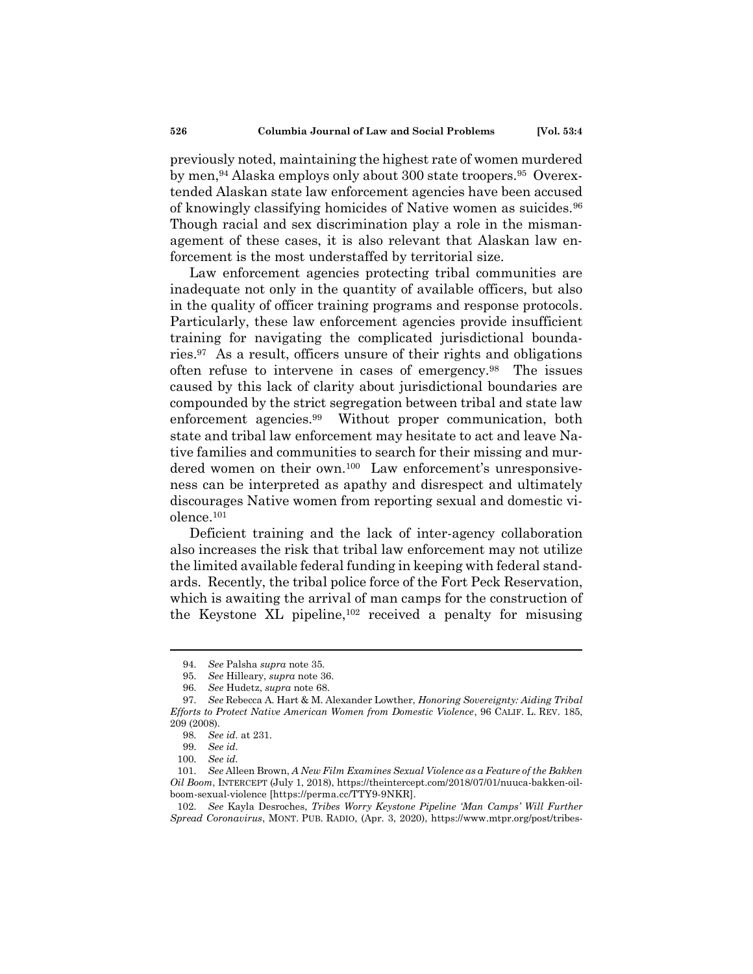previously noted, maintaining the highest rate of women murdered by men,<sup>94</sup> Alaska employs only about 300 state troopers.<sup>95</sup> Overextended Alaskan state law enforcement agencies have been accused of knowingly classifying homicides of Native women as suicides.<sup>96</sup> Though racial and sex discrimination play a role in the mismanagement of these cases, it is also relevant that Alaskan law enforcement is the most understaffed by territorial size.

Law enforcement agencies protecting tribal communities are inadequate not only in the quantity of available officers, but also in the quality of officer training programs and response protocols. Particularly, these law enforcement agencies provide insufficient training for navigating the complicated jurisdictional boundaries.<sup>97</sup> As a result, officers unsure of their rights and obligations often refuse to intervene in cases of emergency.<sup>98</sup> The issues caused by this lack of clarity about jurisdictional boundaries are compounded by the strict segregation between tribal and state law enforcement agencies.<sup>99</sup> Without proper communication, both state and tribal law enforcement may hesitate to act and leave Native families and communities to search for their missing and murdered women on their own.<sup>100</sup> Law enforcement's unresponsiveness can be interpreted as apathy and disrespect and ultimately discourages Native women from reporting sexual and domestic violence. $101$ 

Deficient training and the lack of inter-agency collaboration also increases the risk that tribal law enforcement may not utilize the limited available federal funding in keeping with federal standards. Recently, the tribal police force of the Fort Peck Reservation, which is awaiting the arrival of man camps for the construction of the Keystone XL pipeline,<sup>102</sup> received a penalty for misusing

<sup>94.</sup> *See* Palsha *supra* note 35.

<sup>95.</sup> *See* Hilleary, *supra* note 36.

<sup>96.</sup> *See* Hudetz, *supra* note 68.

<sup>97.</sup> *See* Rebecca A. Hart & M. Alexander Lowther, *Honoring Sovereignty: Aiding Tribal Efforts to Protect Native American Women from Domestic Violence*, 96 CALIF. L. REV. 185, 209 (2008).

<sup>98.</sup> *See id.* at 231.

<sup>99.</sup> *See id.*

<sup>100.</sup> *See id.*

<sup>101.</sup> *See* Alleen Brown, *A New Film Examines Sexual Violence as a Feature of the Bakken Oil Boom*, INTERCEPT (July 1, 2018), https://theintercept.com/2018/07/01/nuuca-bakken-oilboom-sexual-violence [https://perma.cc/TTY9-9NKR].

<sup>102.</sup> *See* Kayla Desroches, *Tribes Worry Keystone Pipeline 'Man Camps' Will Further Spread Coronavirus*, MONT. PUB. RADIO, (Apr. 3, 2020), https://www.mtpr.org/post/tribes-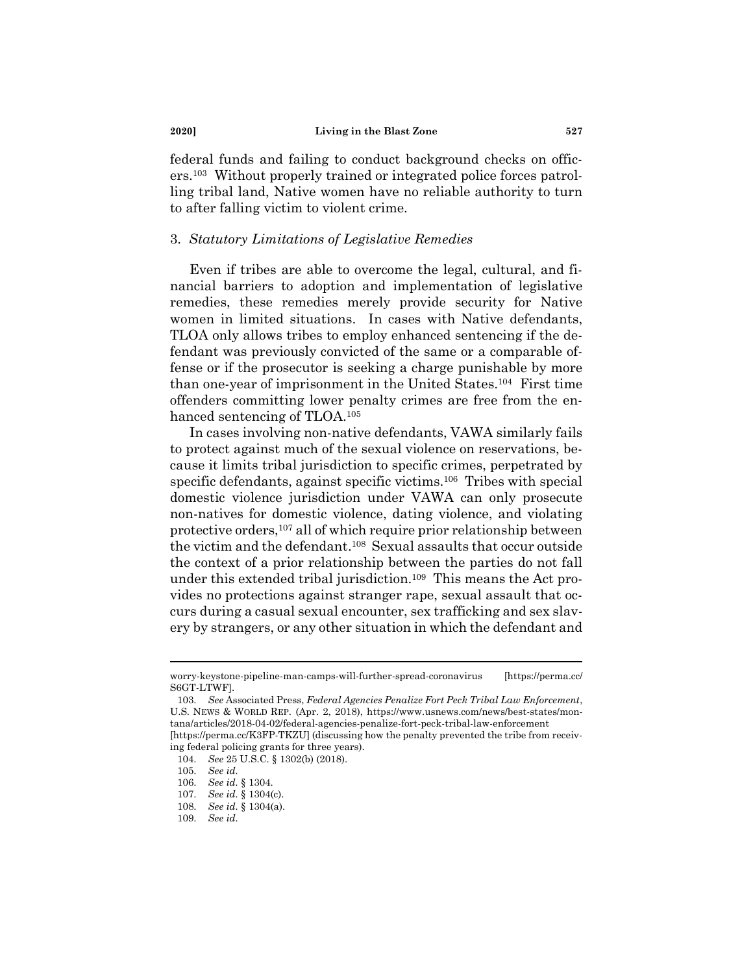federal funds and failing to conduct background checks on officers.<sup>103</sup> Without properly trained or integrated police forces patrolling tribal land, Native women have no reliable authority to turn to after falling victim to violent crime.

#### 3. *Statutory Limitations of Legislative Remedies*

Even if tribes are able to overcome the legal, cultural, and financial barriers to adoption and implementation of legislative remedies, these remedies merely provide security for Native women in limited situations. In cases with Native defendants, TLOA only allows tribes to employ enhanced sentencing if the defendant was previously convicted of the same or a comparable offense or if the prosecutor is seeking a charge punishable by more than one-year of imprisonment in the United States.<sup>104</sup> First time offenders committing lower penalty crimes are free from the enhanced sentencing of TLOA.<sup>105</sup>

In cases involving non-native defendants, VAWA similarly fails to protect against much of the sexual violence on reservations, because it limits tribal jurisdiction to specific crimes, perpetrated by specific defendants, against specific victims.<sup>106</sup> Tribes with special domestic violence jurisdiction under VAWA can only prosecute non-natives for domestic violence, dating violence, and violating protective orders,<sup>107</sup> all of which require prior relationship between the victim and the defendant. <sup>108</sup> Sexual assaults that occur outside the context of a prior relationship between the parties do not fall under this extended tribal jurisdiction.<sup>109</sup> This means the Act provides no protections against stranger rape, sexual assault that occurs during a casual sexual encounter, sex trafficking and sex slavery by strangers, or any other situation in which the defendant and

worry-keystone-pipeline-man-camps-will-further-spread-coronavirus [https://perma.cc/ S6GT-LTWF].

<sup>103.</sup> *See* Associated Press, *Federal Agencies Penalize Fort Peck Tribal Law Enforcement*, U.S. NEWS & WORLD REP. (Apr. 2, 2018), https://www.usnews.com/news/best-states/montana/articles/2018-04-02/federal-agencies-penalize-fort-peck-tribal-law-enforcement [https://perma.cc/K3FP-TKZU] (discussing how the penalty prevented the tribe from receiv-

ing federal policing grants for three years). 104. *See* 25 U.S.C. § 1302(b) (2018).

<sup>105.</sup> *See id.*

<sup>106.</sup> *See id.* § 1304.

<sup>107.</sup> *See id.* § 1304(c).

<sup>108.</sup> *See id.* § 1304(a).

<sup>109.</sup> *See id.*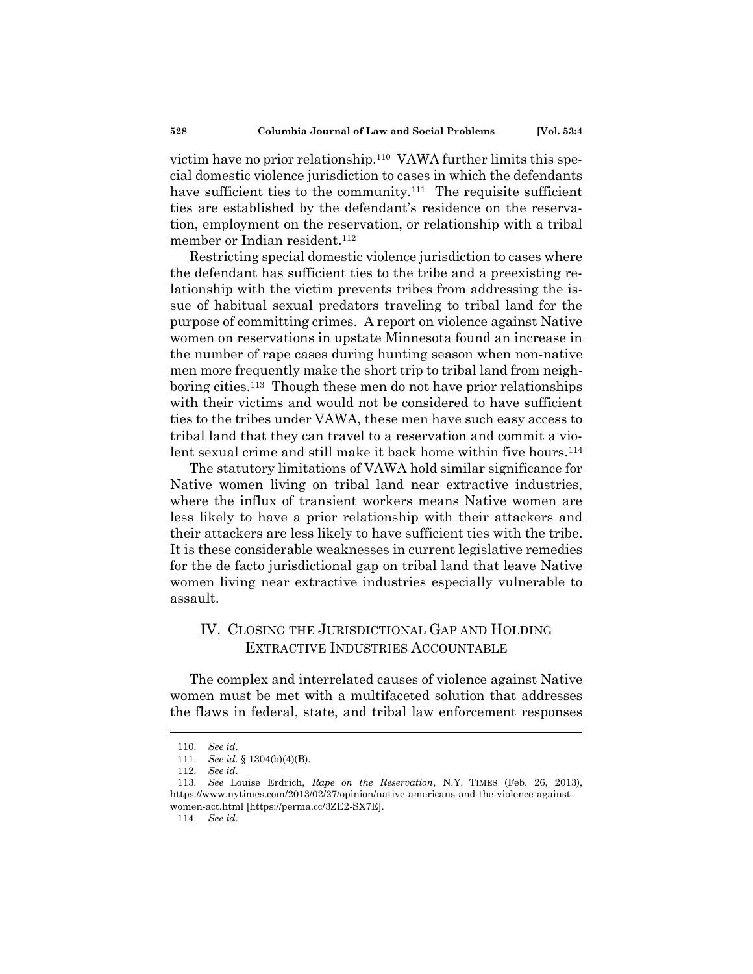victim have no prior relationship.<sup>110</sup> VAWA further limits this special domestic violence jurisdiction to cases in which the defendants have sufficient ties to the community.<sup>111</sup> The requisite sufficient ties are established by the defendant's residence on the reservation, employment on the reservation, or relationship with a tribal member or Indian resident.<sup>112</sup>

Restricting special domestic violence jurisdiction to cases where the defendant has sufficient ties to the tribe and a preexisting relationship with the victim prevents tribes from addressing the issue of habitual sexual predators traveling to tribal land for the purpose of committing crimes. A report on violence against Native women on reservations in upstate Minnesota found an increase in the number of rape cases during hunting season when non-native men more frequently make the short trip to tribal land from neighboring cities.<sup>113</sup> Though these men do not have prior relationships with their victims and would not be considered to have sufficient ties to the tribes under VAWA, these men have such easy access to tribal land that they can travel to a reservation and commit a violent sexual crime and still make it back home within five hours.<sup>114</sup>

The statutory limitations of VAWA hold similar significance for Native women living on tribal land near extractive industries, where the influx of transient workers means Native women are less likely to have a prior relationship with their attackers and their attackers are less likely to have sufficient ties with the tribe. It is these considerable weaknesses in current legislative remedies for the de facto jurisdictional gap on tribal land that leave Native women living near extractive industries especially vulnerable to assault.

# IV. CLOSING THE JURISDICTIONAL GAP AND HOLDING EXTRACTIVE INDUSTRIES ACCOUNTABLE

The complex and interrelated causes of violence against Native women must be met with a multifaceted solution that addresses the flaws in federal, state, and tribal law enforcement responses

114. *See id.*

<sup>110.</sup> *See id.*

<sup>111.</sup> *See id.* § 1304(b)(4)(B).

<sup>112.</sup> *See id.*

<sup>113.</sup> *See* Louise Erdrich, *Rape on the Reservation*, N.Y. TIMES (Feb. 26, 2013), https://www.nytimes.com/2013/02/27/opinion/native-americans-and-the-violence-againstwomen-act.html [https://perma.cc/3ZE2-SX7E].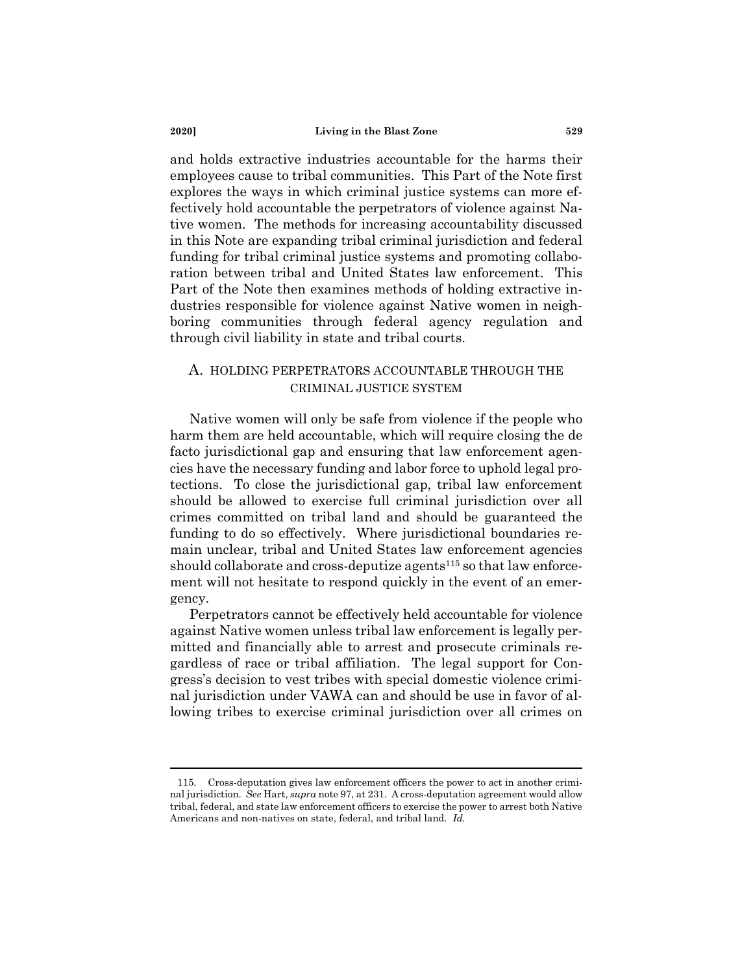and holds extractive industries accountable for the harms their employees cause to tribal communities. This Part of the Note first explores the ways in which criminal justice systems can more effectively hold accountable the perpetrators of violence against Native women. The methods for increasing accountability discussed in this Note are expanding tribal criminal jurisdiction and federal funding for tribal criminal justice systems and promoting collaboration between tribal and United States law enforcement. This Part of the Note then examines methods of holding extractive industries responsible for violence against Native women in neighboring communities through federal agency regulation and through civil liability in state and tribal courts.

# A. HOLDING PERPETRATORS ACCOUNTABLE THROUGH THE CRIMINAL JUSTICE SYSTEM

Native women will only be safe from violence if the people who harm them are held accountable, which will require closing the de facto jurisdictional gap and ensuring that law enforcement agencies have the necessary funding and labor force to uphold legal protections. To close the jurisdictional gap, tribal law enforcement should be allowed to exercise full criminal jurisdiction over all crimes committed on tribal land and should be guaranteed the funding to do so effectively. Where jurisdictional boundaries remain unclear, tribal and United States law enforcement agencies should collaborate and cross-deputize agents<sup>115</sup> so that law enforcement will not hesitate to respond quickly in the event of an emergency.

Perpetrators cannot be effectively held accountable for violence against Native women unless tribal law enforcement is legally permitted and financially able to arrest and prosecute criminals regardless of race or tribal affiliation. The legal support for Congress's decision to vest tribes with special domestic violence criminal jurisdiction under VAWA can and should be use in favor of allowing tribes to exercise criminal jurisdiction over all crimes on

<sup>115.</sup> Cross-deputation gives law enforcement officers the power to act in another criminal jurisdiction. *See* Hart, *supra* note 97, at 231. A cross-deputation agreement would allow tribal, federal, and state law enforcement officers to exercise the power to arrest both Native Americans and non-natives on state, federal, and tribal land. *Id.*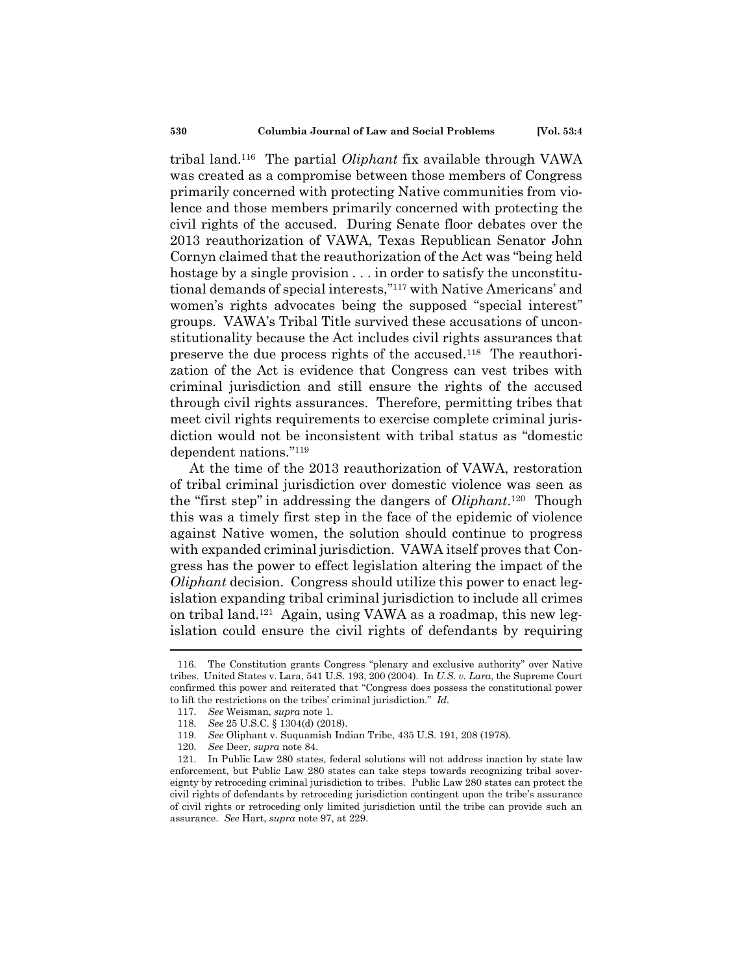tribal land. <sup>116</sup> The partial *Oliphant* fix available through VAWA was created as a compromise between those members of Congress primarily concerned with protecting Native communities from violence and those members primarily concerned with protecting the civil rights of the accused. During Senate floor debates over the 2013 reauthorization of VAWA, Texas Republican Senator John Cornyn claimed that the reauthorization of the Act was "being held hostage by a single provision . . . in order to satisfy the unconstitutional demands of special interests," <sup>117</sup> with Native Americans' and women's rights advocates being the supposed "special interest" groups. VAWA's Tribal Title survived these accusations of unconstitutionality because the Act includes civil rights assurances that preserve the due process rights of the accused.<sup>118</sup> The reauthorization of the Act is evidence that Congress can vest tribes with criminal jurisdiction and still ensure the rights of the accused through civil rights assurances. Therefore, permitting tribes that meet civil rights requirements to exercise complete criminal jurisdiction would not be inconsistent with tribal status as "domestic dependent nations." 119

At the time of the 2013 reauthorization of VAWA, restoration of tribal criminal jurisdiction over domestic violence was seen as the "first step" in addressing the dangers of *Oliphant*. <sup>120</sup> Though this was a timely first step in the face of the epidemic of violence against Native women, the solution should continue to progress with expanded criminal jurisdiction. VAWA itself proves that Congress has the power to effect legislation altering the impact of the *Oliphant* decision. Congress should utilize this power to enact legislation expanding tribal criminal jurisdiction to include all crimes on tribal land.<sup>121</sup> Again, using VAWA as a roadmap, this new legislation could ensure the civil rights of defendants by requiring

<sup>116.</sup> The Constitution grants Congress "plenary and exclusive authority" over Native tribes. United States v. Lara, 541 U.S. 193, 200 (2004). In *U.S. v. Lara*, the Supreme Court confirmed this power and reiterated that "Congress does possess the constitutional power to lift the restrictions on the tribes' criminal jurisdiction." *Id.*

<sup>117.</sup> *See* Weisman, *supra* note 1.

<sup>118.</sup> *See* 25 U.S.C. § 1304(d) (2018).

<sup>119.</sup> *See* Oliphant v. Suquamish Indian Tribe, 435 U.S. 191, 208 (1978).

<sup>120.</sup> *See* Deer, *supra* note 84.

<sup>121.</sup> In Public Law 280 states, federal solutions will not address inaction by state law enforcement, but Public Law 280 states can take steps towards recognizing tribal sovereignty by retroceding criminal jurisdiction to tribes. Public Law 280 states can protect the civil rights of defendants by retroceding jurisdiction contingent upon the tribe's assurance of civil rights or retroceding only limited jurisdiction until the tribe can provide such an assurance. *See* Hart, *supra* note 97, at 229.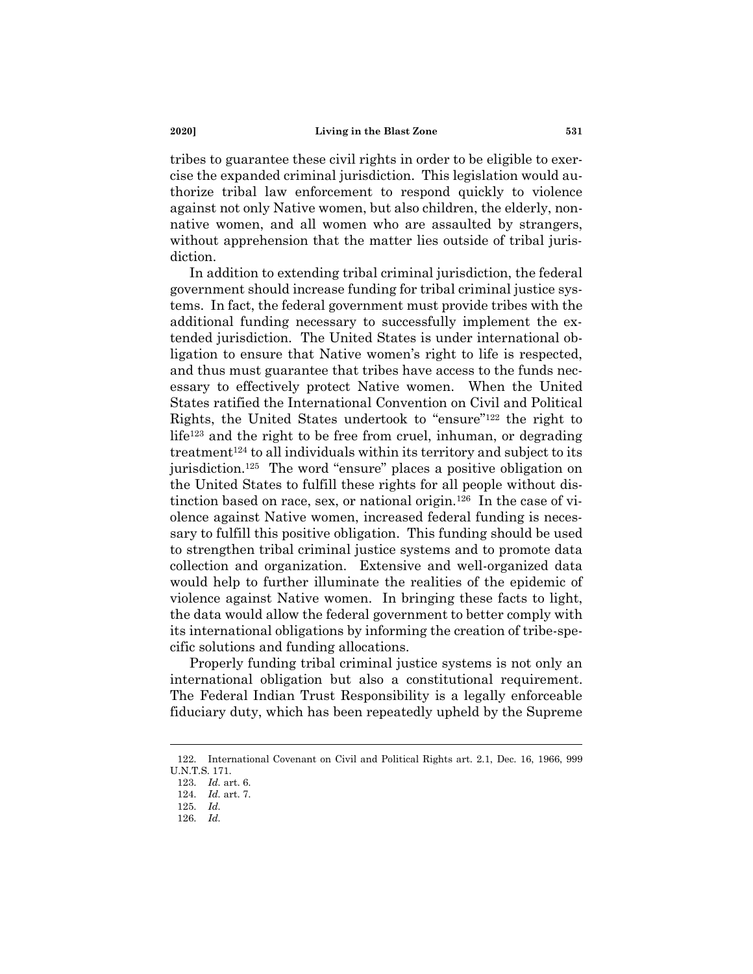tribes to guarantee these civil rights in order to be eligible to exercise the expanded criminal jurisdiction. This legislation would authorize tribal law enforcement to respond quickly to violence against not only Native women, but also children, the elderly, nonnative women, and all women who are assaulted by strangers, without apprehension that the matter lies outside of tribal jurisdiction.

In addition to extending tribal criminal jurisdiction, the federal government should increase funding for tribal criminal justice systems. In fact, the federal government must provide tribes with the additional funding necessary to successfully implement the extended jurisdiction. The United States is under international obligation to ensure that Native women's right to life is respected, and thus must guarantee that tribes have access to the funds necessary to effectively protect Native women. When the United States ratified the International Convention on Civil and Political Rights, the United States undertook to "ensure" <sup>122</sup> the right to life<sup>123</sup> and the right to be free from cruel, inhuman, or degrading treatment<sup>124</sup> to all individuals within its territory and subject to its jurisdiction.<sup>125</sup> The word "ensure" places a positive obligation on the United States to fulfill these rights for all people without distinction based on race, sex, or national origin.<sup>126</sup> In the case of violence against Native women, increased federal funding is necessary to fulfill this positive obligation. This funding should be used to strengthen tribal criminal justice systems and to promote data collection and organization. Extensive and well-organized data would help to further illuminate the realities of the epidemic of violence against Native women. In bringing these facts to light, the data would allow the federal government to better comply with its international obligations by informing the creation of tribe-specific solutions and funding allocations.

Properly funding tribal criminal justice systems is not only an international obligation but also a constitutional requirement. The Federal Indian Trust Responsibility is a legally enforceable fiduciary duty, which has been repeatedly upheld by the Supreme

<sup>122.</sup> International Covenant on Civil and Political Rights art. 2.1, Dec. 16, 1966, 999 U.N.T.S. 171.

<sup>123.</sup> *Id.* art. 6.

<sup>124.</sup> *Id.* art. 7.

<sup>126.</sup> *Id.*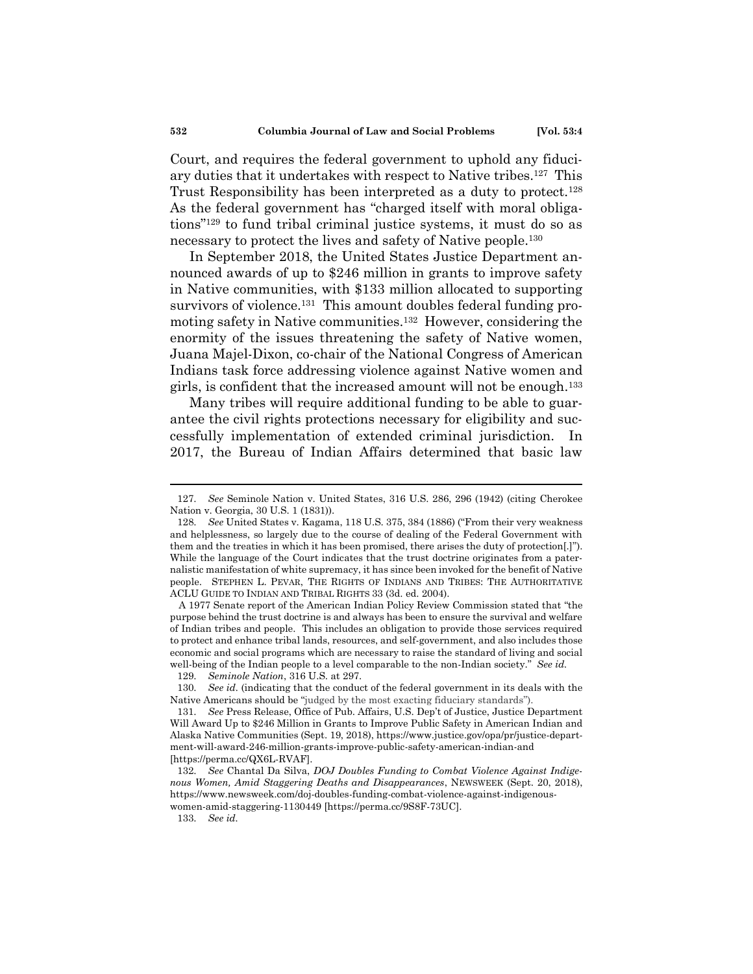Court, and requires the federal government to uphold any fiduciary duties that it undertakes with respect to Native tribes.<sup>127</sup> This Trust Responsibility has been interpreted as a duty to protect.<sup>128</sup> As the federal government has "charged itself with moral obligations" <sup>129</sup> to fund tribal criminal justice systems, it must do so as necessary to protect the lives and safety of Native people.<sup>130</sup>

In September 2018, the United States Justice Department announced awards of up to \$246 million in grants to improve safety in Native communities, with \$133 million allocated to supporting survivors of violence.<sup>131</sup> This amount doubles federal funding promoting safety in Native communities.<sup>132</sup> However, considering the enormity of the issues threatening the safety of Native women, Juana Majel-Dixon, co-chair of the National Congress of American Indians task force addressing violence against Native women and girls, is confident that the increased amount will not be enough.<sup>133</sup>

Many tribes will require additional funding to be able to guarantee the civil rights protections necessary for eligibility and successfully implementation of extended criminal jurisdiction. In 2017, the Bureau of Indian Affairs determined that basic law

A 1977 Senate report of the American Indian Policy Review Commission stated that "the purpose behind the trust doctrine is and always has been to ensure the survival and welfare of Indian tribes and people. This includes an obligation to provide those services required to protect and enhance tribal lands, resources, and self-government, and also includes those economic and social programs which are necessary to raise the standard of living and social well-being of the Indian people to a level comparable to the non-Indian society." *See id.*

<sup>127.</sup> *See* Seminole Nation v. United States, 316 U.S. 286, 296 (1942) (citing Cherokee Nation v. Georgia, 30 U.S. 1 (1831)).

<sup>128.</sup> *See* United States v. Kagama, 118 U.S. 375, 384 (1886) ("From their very weakness and helplessness, so largely due to the course of dealing of the Federal Government with them and the treaties in which it has been promised, there arises the duty of protection[.]"). While the language of the Court indicates that the trust doctrine originates from a paternalistic manifestation of white supremacy, it has since been invoked for the benefit of Native people. STEPHEN L. PEVAR, THE RIGHTS OF INDIANS AND TRIBES: THE AUTHORITATIVE ACLU GUIDE TO INDIAN AND TRIBAL RIGHTS 33 (3d. ed. 2004).

<sup>129.</sup> *Seminole Nation*, 316 U.S. at 297.

<sup>130.</sup> *See id.* (indicating that the conduct of the federal government in its deals with the Native Americans should be "judged by the most exacting fiduciary standards").

<sup>131.</sup> *See* Press Release, Office of Pub. Affairs, U.S. Dep't of Justice, Justice Department Will Award Up to \$246 Million in Grants to Improve Public Safety in American Indian and Alaska Native Communities (Sept. 19, 2018), https://www.justice.gov/opa/pr/justice-department-will-award-246-million-grants-improve-public-safety-american-indian-and [https://perma.cc/QX6L-RVAF].

<sup>132.</sup> *See* Chantal Da Silva, *DOJ Doubles Funding to Combat Violence Against Indigenous Women, Amid Staggering Deaths and Disappearances*, NEWSWEEK (Sept. 20, 2018), https://www.newsweek.com/doj-doubles-funding-combat-violence-against-indigenouswomen-amid-staggering-1130449 [https://perma.cc/9S8F-73UC].

<sup>133.</sup> *See id.*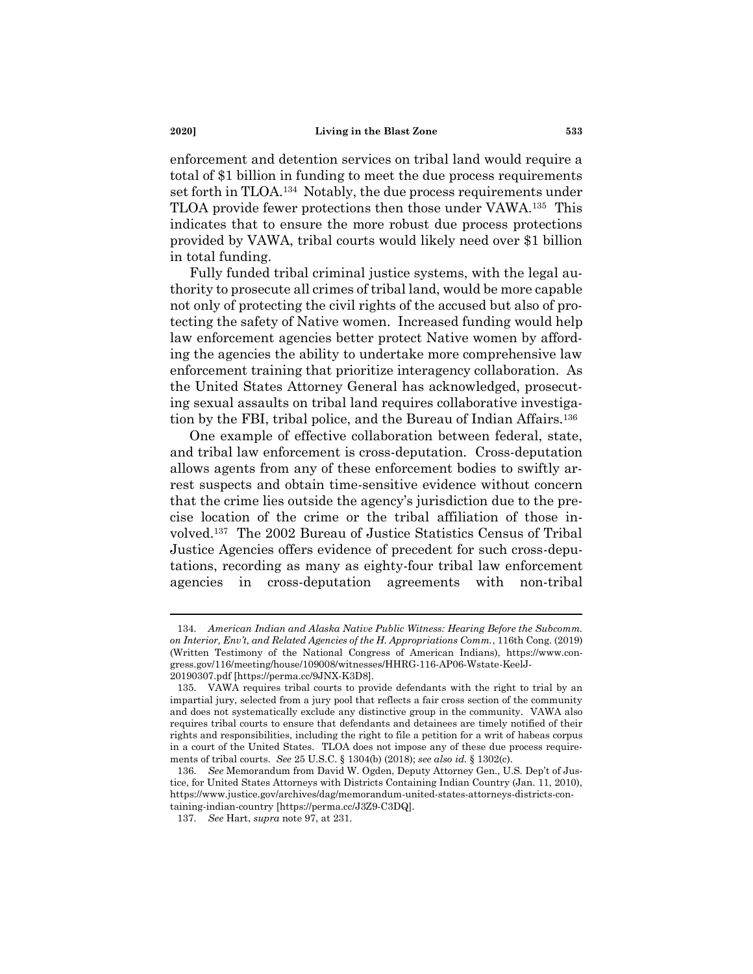enforcement and detention services on tribal land would require a total of \$1 billion in funding to meet the due process requirements set forth in TLOA.<sup>134</sup> Notably, the due process requirements under TLOA provide fewer protections then those under VAWA.<sup>135</sup> This indicates that to ensure the more robust due process protections provided by VAWA, tribal courts would likely need over \$1 billion in total funding.

Fully funded tribal criminal justice systems, with the legal authority to prosecute all crimes of tribal land, would be more capable not only of protecting the civil rights of the accused but also of protecting the safety of Native women. Increased funding would help law enforcement agencies better protect Native women by affording the agencies the ability to undertake more comprehensive law enforcement training that prioritize interagency collaboration. As the United States Attorney General has acknowledged, prosecuting sexual assaults on tribal land requires collaborative investigation by the FBI, tribal police, and the Bureau of Indian Affairs.<sup>136</sup>

One example of effective collaboration between federal, state, and tribal law enforcement is cross-deputation. Cross-deputation allows agents from any of these enforcement bodies to swiftly arrest suspects and obtain time-sensitive evidence without concern that the crime lies outside the agency's jurisdiction due to the precise location of the crime or the tribal affiliation of those involved.<sup>137</sup> The 2002 Bureau of Justice Statistics Census of Tribal Justice Agencies offers evidence of precedent for such cross-deputations, recording as many as eighty-four tribal law enforcement agencies in cross-deputation agreements with non-tribal

<sup>134.</sup> *American Indian and Alaska Native Public Witness: Hearing Before the Subcomm. on Interior, Env't, and Related Agencies of the H. Appropriations Comm.*, 116th Cong. (2019) (Written Testimony of the National Congress of American Indians), https://www.congress.gov/116/meeting/house/109008/witnesses/HHRG-116-AP06-Wstate-KeelJ-20190307.pdf [https://perma.cc/9JNX-K3D8].

<sup>135.</sup> VAWA requires tribal courts to provide defendants with the right to trial by an impartial jury, selected from a jury pool that reflects a fair cross section of the community and does not systematically exclude any distinctive group in the community. VAWA also requires tribal courts to ensure that defendants and detainees are timely notified of their rights and responsibilities, including the right to file a petition for a writ of habeas corpus in a court of the United States. TLOA does not impose any of these due process requirements of tribal courts. *See* 25 U.S.C. § 1304(b) (2018); *see also id.* § 1302(c).

<sup>136.</sup> *See* Memorandum from David W. Ogden, Deputy Attorney Gen., U.S. Dep't of Justice, for United States Attorneys with Districts Containing Indian Country (Jan. 11, 2010), https://www.justice.gov/archives/dag/memorandum-united-states-attorneys-districts-containing-indian-country [https://perma.cc/J3Z9-C3DQ].

<sup>137.</sup> *See* Hart, *supra* note 97, at 231.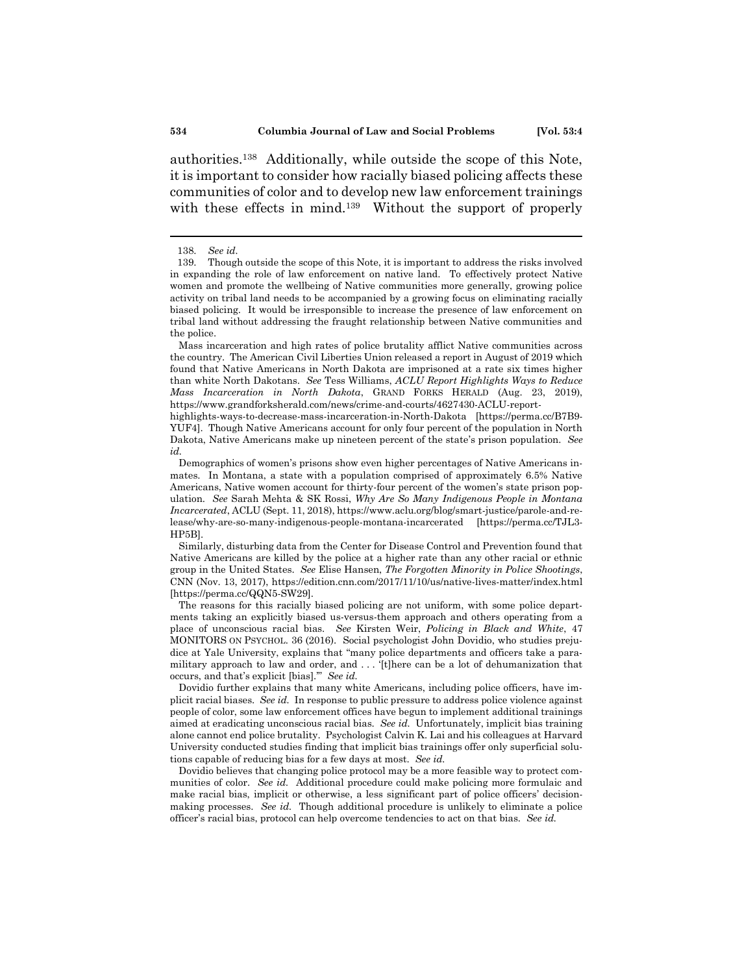authorities.<sup>138</sup> Additionally, while outside the scope of this Note, it is important to consider how racially biased policing affects these communities of color and to develop new law enforcement trainings with these effects in mind.<sup>139</sup> Without the support of properly

Mass incarceration and high rates of police brutality afflict Native communities across the country. The American Civil Liberties Union released a report in August of 2019 which found that Native Americans in North Dakota are imprisoned at a rate six times higher than white North Dakotans. *See* Tess Williams, *ACLU Report Highlights Ways to Reduce Mass Incarceration in North Dakota*, GRAND FORKS HERALD (Aug. 23, 2019), https://www.grandforksherald.com/news/crime-and-courts/4627430-ACLU-report-

highlights-ways-to-decrease-mass-incarceration-in-North-Dakota [https://perma.cc/B7B9- YUF4]. Though Native Americans account for only four percent of the population in North Dakota, Native Americans make up nineteen percent of the state's prison population. *See id.*

Demographics of women's prisons show even higher percentages of Native Americans inmates. In Montana, a state with a population comprised of approximately 6.5% Native Americans, Native women account for thirty-four percent of the women's state prison population. *See* Sarah Mehta & SK Rossi, *Why Are So Many Indigenous People in Montana Incarcerated*, ACLU (Sept. 11, 2018), https://www.aclu.org/blog/smart-justice/parole-and-release/why-are-so-many-indigenous-people-montana-incarcerated [https://perma.cc/TJL3- HP5B].

Similarly, disturbing data from the Center for Disease Control and Prevention found that Native Americans are killed by the police at a higher rate than any other racial or ethnic group in the United States. *See* Elise Hansen, *The Forgotten Minority in Police Shootings*, CNN (Nov. 13, 2017), https://edition.cnn.com/2017/11/10/us/native-lives-matter/index.html [https://perma.cc/QQN5-SW29].

The reasons for this racially biased policing are not uniform, with some police departments taking an explicitly biased us-versus-them approach and others operating from a place of unconscious racial bias. *See* Kirsten Weir, *Policing in Black and White*, 47 MONITORS ON PSYCHOL. 36 (2016). Social psychologist John Dovidio, who studies prejudice at Yale University, explains that "many police departments and officers take a paramilitary approach to law and order, and . . . '[t]here can be a lot of dehumanization that occurs, and that's explicit [bias].'" *See id.* 

Dovidio further explains that many white Americans, including police officers, have implicit racial biases. *See id.* In response to public pressure to address police violence against people of color, some law enforcement offices have begun to implement additional trainings aimed at eradicating unconscious racial bias. *See id.* Unfortunately, implicit bias training alone cannot end police brutality. Psychologist Calvin K. Lai and his colleagues at Harvard University conducted studies finding that implicit bias trainings offer only superficial solutions capable of reducing bias for a few days at most. *See id.*

Dovidio believes that changing police protocol may be a more feasible way to protect communities of color. *See id.* Additional procedure could make policing more formulaic and make racial bias, implicit or otherwise, a less significant part of police officers' decisionmaking processes. *See id.* Though additional procedure is unlikely to eliminate a police officer's racial bias, protocol can help overcome tendencies to act on that bias. *See id.*

<sup>138.</sup> *See id.*

<sup>139.</sup> Though outside the scope of this Note, it is important to address the risks involved in expanding the role of law enforcement on native land. To effectively protect Native women and promote the wellbeing of Native communities more generally, growing police activity on tribal land needs to be accompanied by a growing focus on eliminating racially biased policing. It would be irresponsible to increase the presence of law enforcement on tribal land without addressing the fraught relationship between Native communities and the police.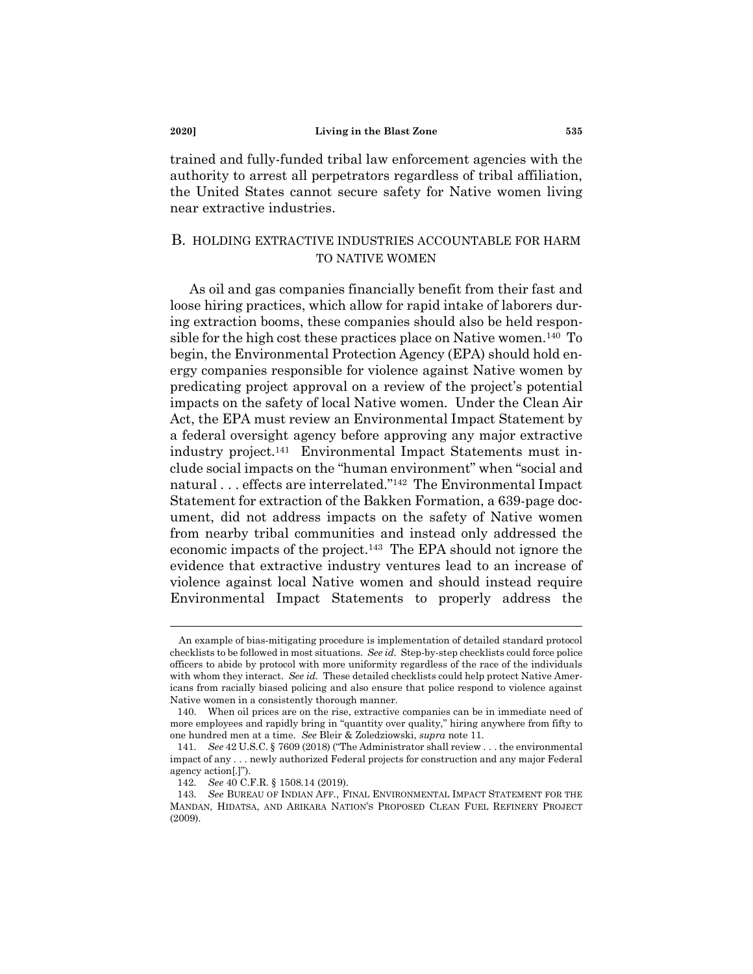trained and fully-funded tribal law enforcement agencies with the authority to arrest all perpetrators regardless of tribal affiliation, the United States cannot secure safety for Native women living near extractive industries.

# B. HOLDING EXTRACTIVE INDUSTRIES ACCOUNTABLE FOR HARM TO NATIVE WOMEN

As oil and gas companies financially benefit from their fast and loose hiring practices, which allow for rapid intake of laborers during extraction booms, these companies should also be held responsible for the high cost these practices place on Native women.<sup>140</sup> To begin, the Environmental Protection Agency (EPA) should hold energy companies responsible for violence against Native women by predicating project approval on a review of the project's potential impacts on the safety of local Native women. Under the Clean Air Act, the EPA must review an Environmental Impact Statement by a federal oversight agency before approving any major extractive industry project.<sup>141</sup> Environmental Impact Statements must include social impacts on the "human environment" when "social and natural . . . effects are interrelated." <sup>142</sup> The Environmental Impact Statement for extraction of the Bakken Formation, a 639-page document, did not address impacts on the safety of Native women from nearby tribal communities and instead only addressed the economic impacts of the project.<sup>143</sup> The EPA should not ignore the evidence that extractive industry ventures lead to an increase of violence against local Native women and should instead require Environmental Impact Statements to properly address the

An example of bias-mitigating procedure is implementation of detailed standard protocol checklists to be followed in most situations. *See id.* Step-by-step checklists could force police officers to abide by protocol with more uniformity regardless of the race of the individuals with whom they interact. *See id.* These detailed checklists could help protect Native Americans from racially biased policing and also ensure that police respond to violence against Native women in a consistently thorough manner.

<sup>140.</sup> When oil prices are on the rise, extractive companies can be in immediate need of more employees and rapidly bring in "quantity over quality," hiring anywhere from fifty to one hundred men at a time. *See* Bleir & Zoledziowski, *supra* note 11.

<sup>141.</sup> *See* 42 U.S.C. § 7609 (2018) ("The Administrator shall review . . . the environmental impact of any . . . newly authorized Federal projects for construction and any major Federal agency action[.]").

<sup>142.</sup> *See* 40 C.F.R. § 1508.14 (2019).

<sup>143.</sup> *See* BUREAU OF INDIAN AFF., FINAL ENVIRONMENTAL IMPACT STATEMENT FOR THE MANDAN, HIDATSA, AND ARIKARA NATION'S PROPOSED CLEAN FUEL REFINERY PROJECT (2009).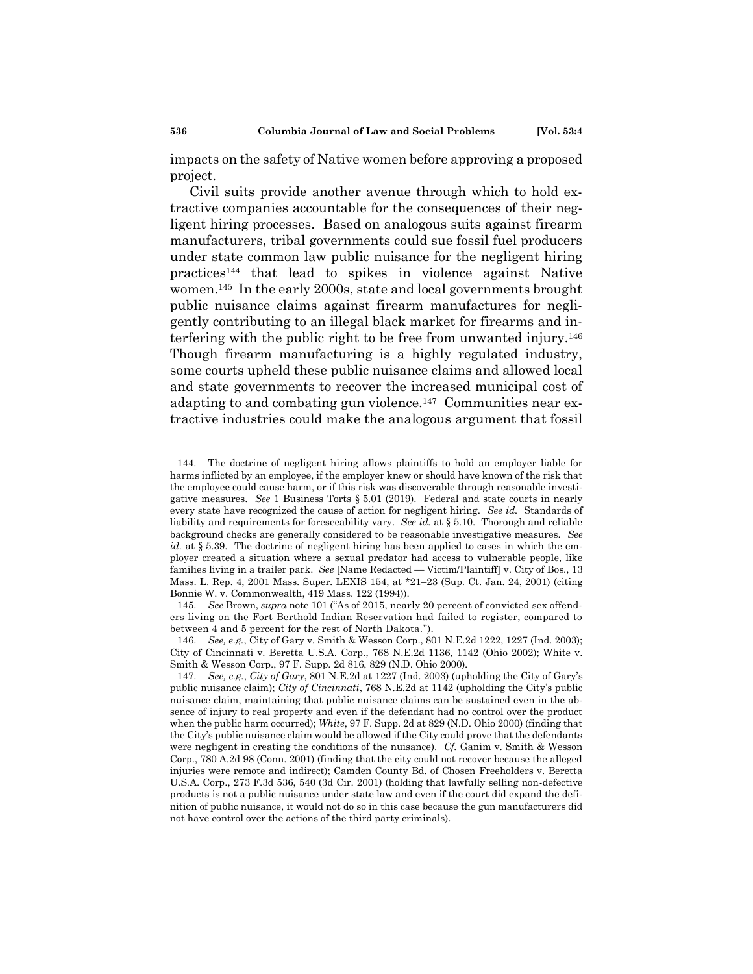impacts on the safety of Native women before approving a proposed project.

Civil suits provide another avenue through which to hold extractive companies accountable for the consequences of their negligent hiring processes. Based on analogous suits against firearm manufacturers, tribal governments could sue fossil fuel producers under state common law public nuisance for the negligent hiring practices<sup>144</sup> that lead to spikes in violence against Native women.<sup>145</sup> In the early 2000s, state and local governments brought public nuisance claims against firearm manufactures for negligently contributing to an illegal black market for firearms and interfering with the public right to be free from unwanted injury.<sup>146</sup> Though firearm manufacturing is a highly regulated industry, some courts upheld these public nuisance claims and allowed local and state governments to recover the increased municipal cost of adapting to and combating gun violence.<sup>147</sup> Communities near extractive industries could make the analogous argument that fossil

<sup>144.</sup> The doctrine of negligent hiring allows plaintiffs to hold an employer liable for harms inflicted by an employee, if the employer knew or should have known of the risk that the employee could cause harm, or if this risk was discoverable through reasonable investigative measures. *See* 1 Business Torts § 5.01 (2019). Federal and state courts in nearly every state have recognized the cause of action for negligent hiring. *See id.* Standards of liability and requirements for foreseeability vary. *See id.* at § 5.10. Thorough and reliable background checks are generally considered to be reasonable investigative measures. *See id.* at § 5.39. The doctrine of negligent hiring has been applied to cases in which the employer created a situation where a sexual predator had access to vulnerable people, like families living in a trailer park. *See* [Name Redacted — Victim/Plaintiff] v. City of Bos., 13 Mass. L. Rep. 4, 2001 Mass. Super. LEXIS 154, at \*21–23 (Sup. Ct. Jan. 24, 2001) (citing Bonnie W. v. Commonwealth, 419 Mass. 122 (1994)).

<sup>145.</sup> *See* Brown, *supra* note 101 ("As of 2015, nearly 20 percent of convicted sex offenders living on the Fort Berthold Indian Reservation had failed to register, compared to between 4 and 5 percent for the rest of North Dakota.").

<sup>146.</sup> *See, e.g.*, City of Gary v. Smith & Wesson Corp., 801 N.E.2d 1222, 1227 (Ind. 2003); City of Cincinnati v. Beretta U.S.A. Corp., 768 N.E.2d 1136, 1142 (Ohio 2002); White v. Smith & Wesson Corp., 97 F. Supp. 2d 816, 829 (N.D. Ohio 2000).

<sup>147.</sup> *See, e.g.*, *City of Gary*, 801 N.E.2d at 1227 (Ind. 2003) (upholding the City of Gary's public nuisance claim); *City of Cincinnati*, 768 N.E.2d at 1142 (upholding the City's public nuisance claim, maintaining that public nuisance claims can be sustained even in the absence of injury to real property and even if the defendant had no control over the product when the public harm occurred); *White*, 97 F. Supp. 2d at 829 (N.D. Ohio 2000) (finding that the City's public nuisance claim would be allowed if the City could prove that the defendants were negligent in creating the conditions of the nuisance). *Cf.* Ganim v. Smith & Wesson Corp., 780 A.2d 98 (Conn. 2001) (finding that the city could not recover because the alleged injuries were remote and indirect); Camden County Bd. of Chosen Freeholders v. Beretta U.S.A. Corp., 273 F.3d 536, 540 (3d Cir. 2001) (holding that lawfully selling non-defective products is not a public nuisance under state law and even if the court did expand the definition of public nuisance, it would not do so in this case because the gun manufacturers did not have control over the actions of the third party criminals).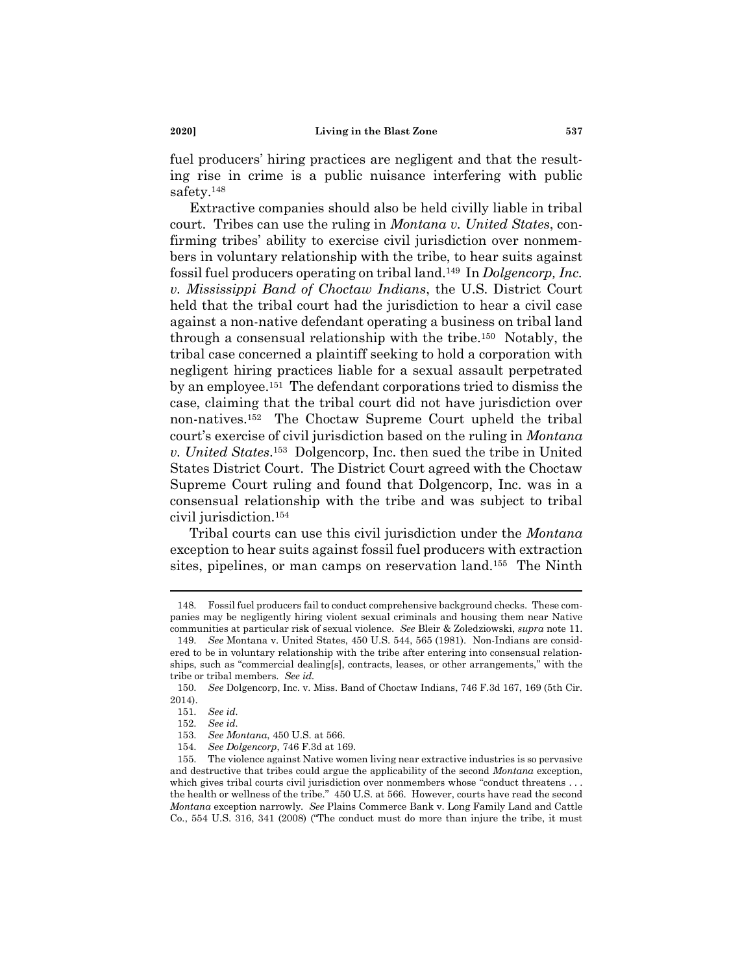fuel producers' hiring practices are negligent and that the resulting rise in crime is a public nuisance interfering with public safety.<sup>148</sup>

Extractive companies should also be held civilly liable in tribal court. Tribes can use the ruling in *Montana v. United States*, confirming tribes' ability to exercise civil jurisdiction over nonmembers in voluntary relationship with the tribe, to hear suits against fossil fuel producers operating on tribal land.<sup>149</sup> In *Dolgencorp, Inc. v. Mississippi Band of Choctaw Indians*, the U.S. District Court held that the tribal court had the jurisdiction to hear a civil case against a non-native defendant operating a business on tribal land through a consensual relationship with the tribe.<sup>150</sup> Notably, the tribal case concerned a plaintiff seeking to hold a corporation with negligent hiring practices liable for a sexual assault perpetrated by an employee.<sup>151</sup> The defendant corporations tried to dismiss the case, claiming that the tribal court did not have jurisdiction over non-natives.<sup>152</sup> The Choctaw Supreme Court upheld the tribal court's exercise of civil jurisdiction based on the ruling in *Montana v. United States*. <sup>153</sup> Dolgencorp, Inc. then sued the tribe in United States District Court. The District Court agreed with the Choctaw Supreme Court ruling and found that Dolgencorp, Inc. was in a consensual relationship with the tribe and was subject to tribal civil jurisdiction.<sup>154</sup>

Tribal courts can use this civil jurisdiction under the *Montana*  exception to hear suits against fossil fuel producers with extraction sites, pipelines, or man camps on reservation land.<sup>155</sup> The Ninth

<sup>148.</sup> Fossil fuel producers fail to conduct comprehensive background checks. These companies may be negligently hiring violent sexual criminals and housing them near Native communities at particular risk of sexual violence. *See* Bleir & Zoledziowski, *supra* note 11.

<sup>149.</sup> *See* Montana v. United States, 450 U.S. 544, 565 (1981). Non-Indians are considered to be in voluntary relationship with the tribe after entering into consensual relationships, such as "commercial dealing[s], contracts, leases, or other arrangements," with the tribe or tribal members. *See id.*

<sup>150.</sup> *See* Dolgencorp, Inc. v. Miss. Band of Choctaw Indians, 746 F.3d 167, 169 (5th Cir. 2014).

<sup>151.</sup> *See id.*

<sup>152.</sup> *See id.*

<sup>153.</sup> *See Montana*, 450 U.S. at 566.

<sup>154.</sup> *See Dolgencorp*, 746 F.3d at 169.

<sup>155.</sup> The violence against Native women living near extractive industries is so pervasive and destructive that tribes could argue the applicability of the second *Montana* exception, which gives tribal courts civil jurisdiction over nonmembers whose "conduct threatens ... the health or wellness of the tribe." 450 U.S. at 566. However, courts have read the second *Montana* exception narrowly. *See* Plains Commerce Bank v. Long Family Land and Cattle Co., 554 U.S. 316, 341 (2008) ("The conduct must do more than injure the tribe, it must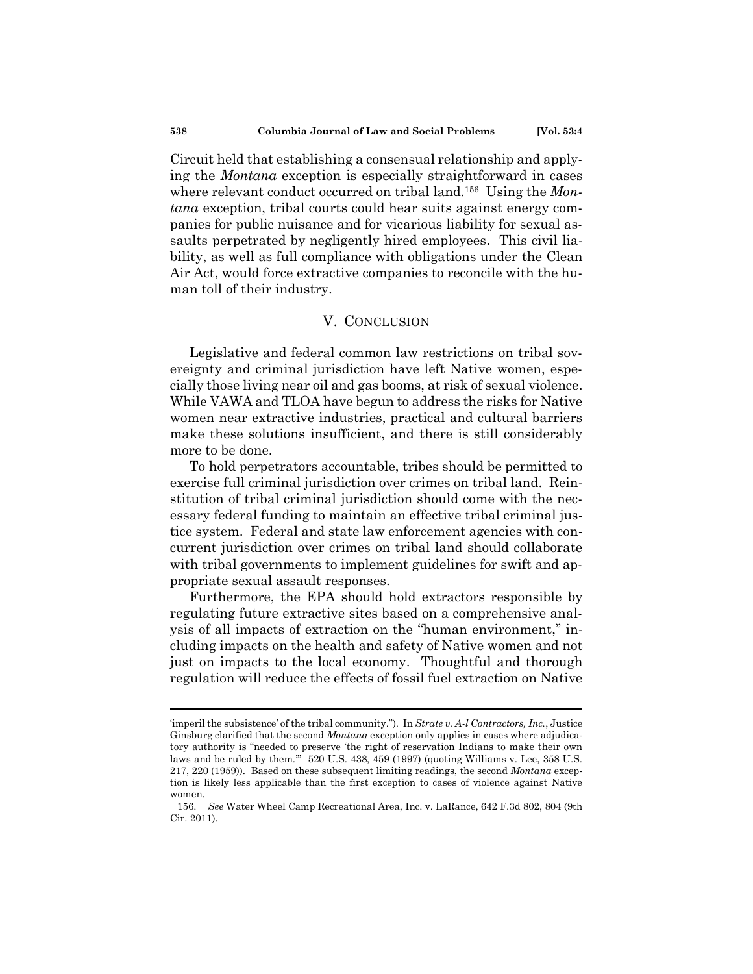Circuit held that establishing a consensual relationship and applying the *Montana* exception is especially straightforward in cases where relevant conduct occurred on tribal land.<sup>156</sup> Using the *Montana* exception, tribal courts could hear suits against energy companies for public nuisance and for vicarious liability for sexual assaults perpetrated by negligently hired employees. This civil liability, as well as full compliance with obligations under the Clean Air Act, would force extractive companies to reconcile with the human toll of their industry.

# V. CONCLUSION

Legislative and federal common law restrictions on tribal sovereignty and criminal jurisdiction have left Native women, especially those living near oil and gas booms, at risk of sexual violence. While VAWA and TLOA have begun to address the risks for Native women near extractive industries, practical and cultural barriers make these solutions insufficient, and there is still considerably more to be done.

To hold perpetrators accountable, tribes should be permitted to exercise full criminal jurisdiction over crimes on tribal land. Reinstitution of tribal criminal jurisdiction should come with the necessary federal funding to maintain an effective tribal criminal justice system. Federal and state law enforcement agencies with concurrent jurisdiction over crimes on tribal land should collaborate with tribal governments to implement guidelines for swift and appropriate sexual assault responses.

Furthermore, the EPA should hold extractors responsible by regulating future extractive sites based on a comprehensive analysis of all impacts of extraction on the "human environment," including impacts on the health and safety of Native women and not just on impacts to the local economy. Thoughtful and thorough regulation will reduce the effects of fossil fuel extraction on Native

<sup>&#</sup>x27;imperil the subsistence' of the tribal community."). In *Strate v. A-l Contractors, Inc.*, Justice Ginsburg clarified that the second *Montana* exception only applies in cases where adjudicatory authority is "needed to preserve 'the right of reservation Indians to make their own laws and be ruled by them.'" 520 U.S. 438, 459 (1997) (quoting Williams v. Lee, 358 U.S. 217, 220 (1959)). Based on these subsequent limiting readings, the second *Montana* exception is likely less applicable than the first exception to cases of violence against Native women.

<sup>156.</sup> *See* Water Wheel Camp Recreational Area, Inc. v. LaRance, 642 F.3d 802, 804 (9th Cir. 2011).